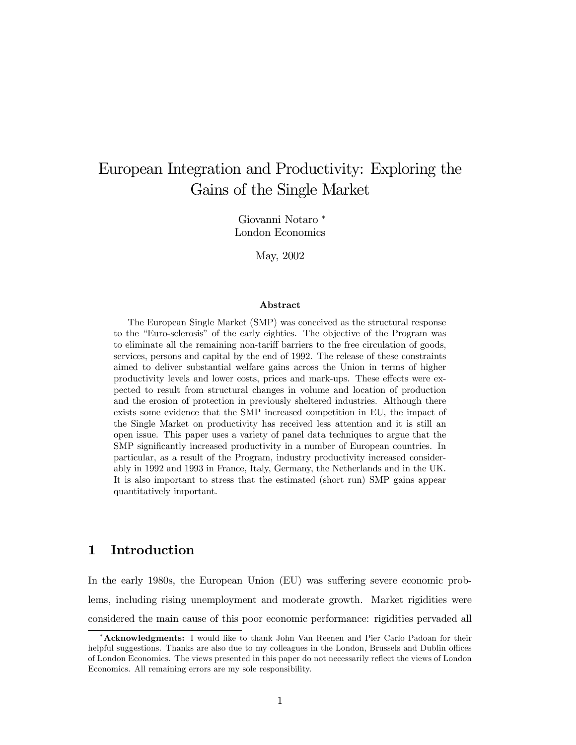# European Integration and Productivity: Exploring the Gains of the Single Market

Giovanni Notaro <sup>∗</sup> London Economics

May, 2002

#### Abstract

The European Single Market (SMP) was conceived as the structural response to the "Euro-sclerosis" of the early eighties. The objective of the Program was to eliminate all the remaining non-tariff barriers to the free circulation of goods, services, persons and capital by the end of 1992. The release of these constraints aimed to deliver substantial welfare gains across the Union in terms of higher productivity levels and lower costs, prices and mark-ups. These effects were expected to result from structural changes in volume and location of production and the erosion of protection in previously sheltered industries. Although there exists some evidence that the SMP increased competition in EU, the impact of the Single Market on productivity has received less attention and it is still an open issue. This paper uses a variety of panel data techniques to argue that the SMP significantly increased productivity in a number of European countries. In particular, as a result of the Program, industry productivity increased considerably in 1992 and 1993 in France, Italy, Germany, the Netherlands and in the UK. It is also important to stress that the estimated (short run) SMP gains appear quantitatively important.

# 1 Introduction

In the early 1980s, the European Union (EU) was suffering severe economic problems, including rising unemployment and moderate growth. Market rigidities were considered the main cause of this poor economic performance: rigidities pervaded all

<sup>∗</sup>Acknowledgments: I would like to thank John Van Reenen and Pier Carlo Padoan for their helpful suggestions. Thanks are also due to my colleagues in the London, Brussels and Dublin offices of London Economics. The views presented in this paper do not necessarily reflect the views of London Economics. All remaining errors are my sole responsibility.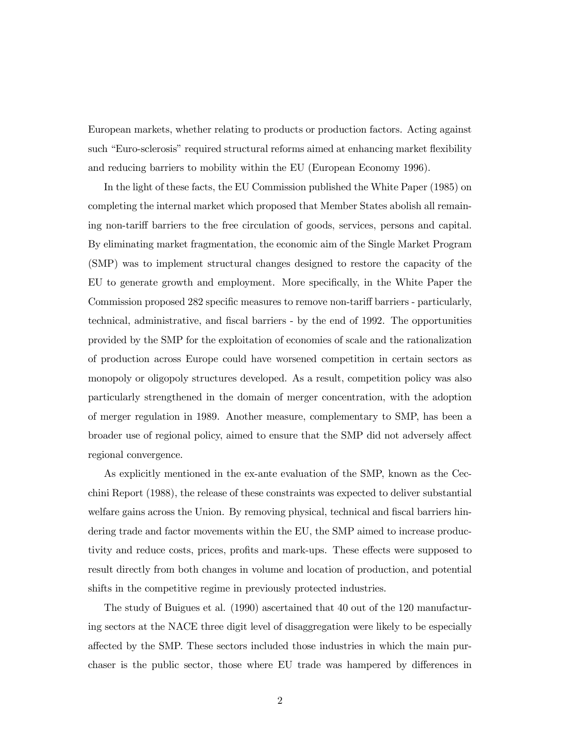European markets, whether relating to products or production factors. Acting against such "Euro-sclerosis" required structural reforms aimed at enhancing market flexibility and reducing barriers to mobility within the EU (European Economy 1996).

In the light of these facts, the EU Commission published the White Paper (1985) on completing the internal market which proposed that Member States abolish all remaining non-tariff barriers to the free circulation of goods, services, persons and capital. By eliminating market fragmentation, the economic aim of the Single Market Program (SMP) was to implement structural changes designed to restore the capacity of the EU to generate growth and employment. More specifically, in the White Paper the Commission proposed 282 specific measures to remove non-tariff barriers - particularly, technical, administrative, and fiscal barriers - by the end of 1992. The opportunities provided by the SMP for the exploitation of economies of scale and the rationalization of production across Europe could have worsened competition in certain sectors as monopoly or oligopoly structures developed. As a result, competition policy was also particularly strengthened in the domain of merger concentration, with the adoption of merger regulation in 1989. Another measure, complementary to SMP, has been a broader use of regional policy, aimed to ensure that the SMP did not adversely affect regional convergence.

As explicitly mentioned in the ex-ante evaluation of the SMP, known as the Cecchini Report (1988), the release of these constraints was expected to deliver substantial welfare gains across the Union. By removing physical, technical and fiscal barriers hindering trade and factor movements within the EU, the SMP aimed to increase productivity and reduce costs, prices, profits and mark-ups. These effects were supposed to result directly from both changes in volume and location of production, and potential shifts in the competitive regime in previously protected industries.

The study of Buigues et al. (1990) ascertained that 40 out of the 120 manufacturing sectors at the NACE three digit level of disaggregation were likely to be especially affected by the SMP. These sectors included those industries in which the main purchaser is the public sector, those where EU trade was hampered by differences in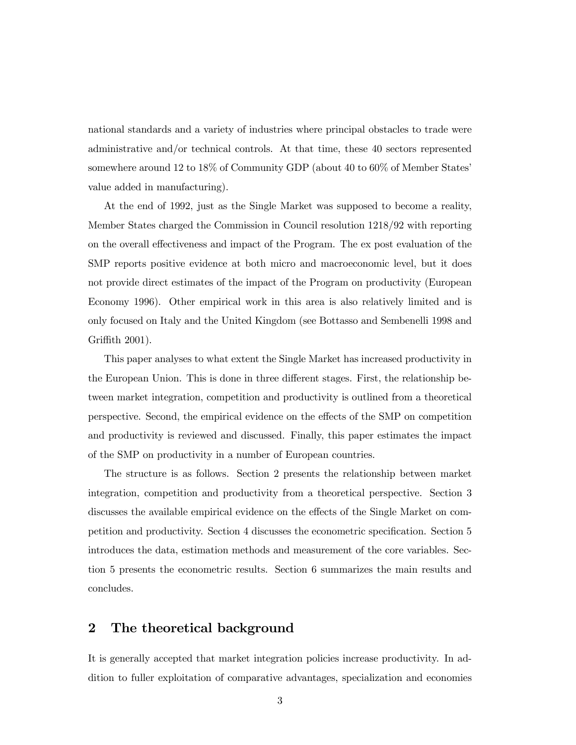national standards and a variety of industries where principal obstacles to trade were administrative and/or technical controls. At that time, these 40 sectors represented somewhere around 12 to 18% of Community GDP (about 40 to 60% of Member States' value added in manufacturing).

At the end of 1992, just as the Single Market was supposed to become a reality, Member States charged the Commission in Council resolution 1218/92 with reporting on the overall effectiveness and impact of the Program. The ex post evaluation of the SMP reports positive evidence at both micro and macroeconomic level, but it does not provide direct estimates of the impact of the Program on productivity (European Economy 1996). Other empirical work in this area is also relatively limited and is only focused on Italy and the United Kingdom (see Bottasso and Sembenelli 1998 and Griffith 2001).

This paper analyses to what extent the Single Market has increased productivity in the European Union. This is done in three different stages. First, the relationship between market integration, competition and productivity is outlined from a theoretical perspective. Second, the empirical evidence on the effects of the SMP on competition and productivity is reviewed and discussed. Finally, this paper estimates the impact of the SMP on productivity in a number of European countries.

The structure is as follows. Section 2 presents the relationship between market integration, competition and productivity from a theoretical perspective. Section 3 discusses the available empirical evidence on the effects of the Single Market on competition and productivity. Section 4 discusses the econometric specification. Section 5 introduces the data, estimation methods and measurement of the core variables. Section 5 presents the econometric results. Section 6 summarizes the main results and concludes.

# 2 The theoretical background

It is generally accepted that market integration policies increase productivity. In addition to fuller exploitation of comparative advantages, specialization and economies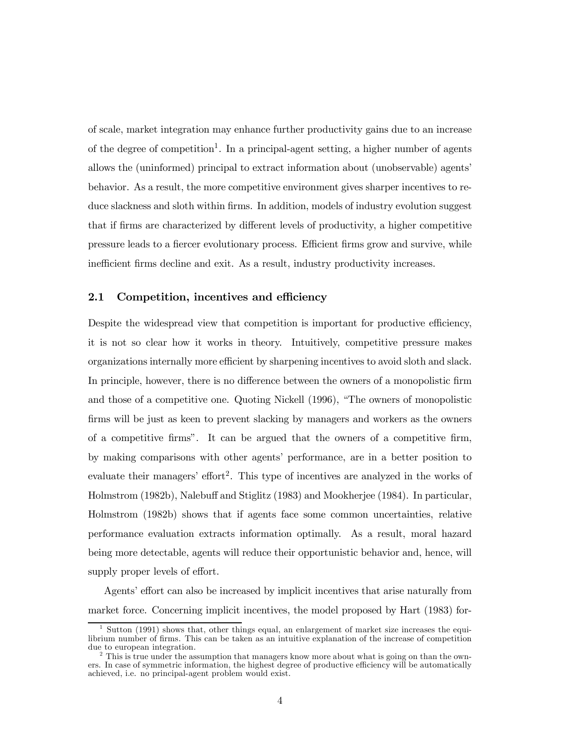of scale, market integration may enhance further productivity gains due to an increase of the degree of competition<sup>1</sup>. In a principal-agent setting, a higher number of agents allows the (uninformed) principal to extract information about (unobservable) agents' behavior. As a result, the more competitive environment gives sharper incentives to reduce slackness and sloth within firms. In addition, models of industry evolution suggest that if firms are characterized by different levels of productivity, a higher competitive pressure leads to a fiercer evolutionary process. Efficient firms grow and survive, while inefficient firms decline and exit. As a result, industry productivity increases.

#### 2.1 Competition, incentives and efficiency

Despite the widespread view that competition is important for productive efficiency, it is not so clear how it works in theory. Intuitively, competitive pressure makes organizations internally more efficient by sharpening incentives to avoid sloth and slack. In principle, however, there is no difference between the owners of a monopolistic firm and those of a competitive one. Quoting Nickell (1996), "The owners of monopolistic firms will be just as keen to prevent slacking by managers and workers as the owners of a competitive firms". It can be argued that the owners of a competitive firm, by making comparisons with other agents' performance, are in a better position to evaluate their managers' effort<sup>2</sup>. This type of incentives are analyzed in the works of Holmstrom (1982b), Nalebuff and Stiglitz (1983) and Mookherjee (1984). In particular, Holmstrom (1982b) shows that if agents face some common uncertainties, relative performance evaluation extracts information optimally. As a result, moral hazard being more detectable, agents will reduce their opportunistic behavior and, hence, will supply proper levels of effort.

Agents' effort can also be increased by implicit incentives that arise naturally from market force. Concerning implicit incentives, the model proposed by Hart (1983) for-

<sup>&</sup>lt;sup>1</sup> Sutton (1991) shows that, other things equal, an enlargement of market size increases the equilibrium number of firms. This can be taken as an intuitive explanation of the increase of competition due to european integration.

<sup>&</sup>lt;sup>2</sup> This is true under the assumption that managers know more about what is going on than the owners. In case of symmetric information, the highest degree of productive efficiency will be automatically achieved, i.e. no principal-agent problem would exist.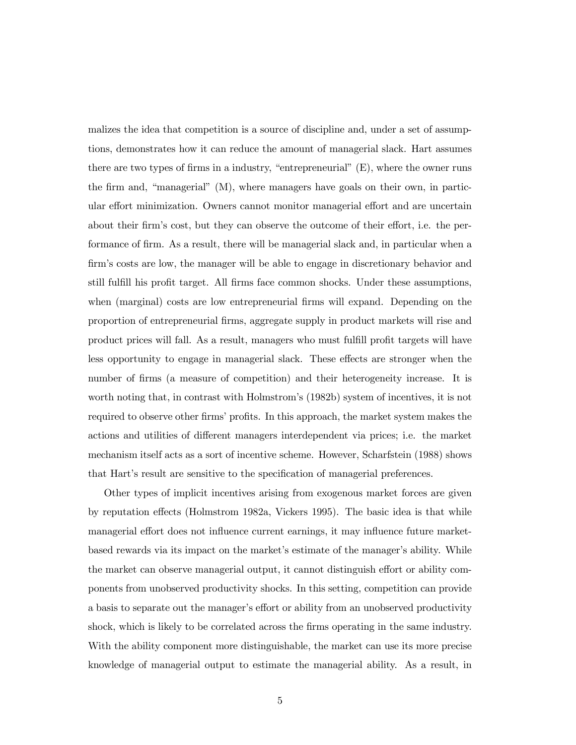malizes the idea that competition is a source of discipline and, under a set of assumptions, demonstrates how it can reduce the amount of managerial slack. Hart assumes there are two types of firms in a industry, "entrepreneurial" (E), where the owner runs the firm and, "managerial" (M), where managers have goals on their own, in particular effort minimization. Owners cannot monitor managerial effort and are uncertain about their firm's cost, but they can observe the outcome of their effort, i.e. the performance of firm. As a result, there will be managerial slack and, in particular when a firm's costs are low, the manager will be able to engage in discretionary behavior and still fulfill his profit target. All firms face common shocks. Under these assumptions, when (marginal) costs are low entrepreneurial firms will expand. Depending on the proportion of entrepreneurial firms, aggregate supply in product markets will rise and product prices will fall. As a result, managers who must fulfill profit targets will have less opportunity to engage in managerial slack. These effects are stronger when the number of firms (a measure of competition) and their heterogeneity increase. It is worth noting that, in contrast with Holmstrom's (1982b) system of incentives, it is not required to observe other firms' profits. In this approach, the market system makes the actions and utilities of different managers interdependent via prices; i.e. the market mechanism itself acts as a sort of incentive scheme. However, Scharfstein (1988) shows that Hart's result are sensitive to the specification of managerial preferences.

Other types of implicit incentives arising from exogenous market forces are given by reputation effects (Holmstrom 1982a, Vickers 1995). The basic idea is that while managerial effort does not influence current earnings, it may influence future marketbased rewards via its impact on the market's estimate of the manager's ability. While the market can observe managerial output, it cannot distinguish effort or ability components from unobserved productivity shocks. In this setting, competition can provide a basis to separate out the manager's effort or ability from an unobserved productivity shock, which is likely to be correlated across the firms operating in the same industry. With the ability component more distinguishable, the market can use its more precise knowledge of managerial output to estimate the managerial ability. As a result, in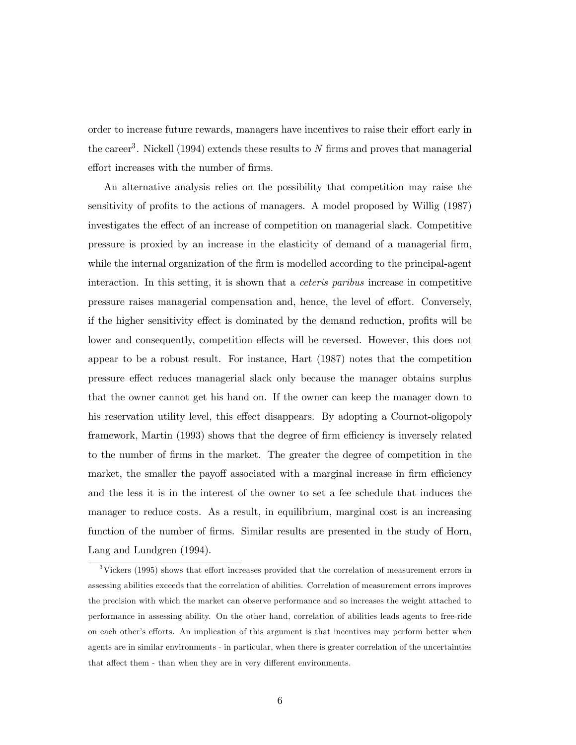order to increase future rewards, managers have incentives to raise their effort early in the career<sup>3</sup>. Nickell (1994) extends these results to N firms and proves that managerial effort increases with the number of firms.

An alternative analysis relies on the possibility that competition may raise the sensitivity of profits to the actions of managers. A model proposed by Willig (1987) investigates the effect of an increase of competition on managerial slack. Competitive pressure is proxied by an increase in the elasticity of demand of a managerial firm, while the internal organization of the firm is modelled according to the principal-agent interaction. In this setting, it is shown that a ceteris paribus increase in competitive pressure raises managerial compensation and, hence, the level of effort. Conversely, if the higher sensitivity effect is dominated by the demand reduction, profits will be lower and consequently, competition effects will be reversed. However, this does not appear to be a robust result. For instance, Hart (1987) notes that the competition pressure effect reduces managerial slack only because the manager obtains surplus that the owner cannot get his hand on. If the owner can keep the manager down to his reservation utility level, this effect disappears. By adopting a Cournot-oligopoly framework, Martin (1993) shows that the degree of firm efficiency is inversely related to the number of firms in the market. The greater the degree of competition in the market, the smaller the payoff associated with a marginal increase in firm efficiency and the less it is in the interest of the owner to set a fee schedule that induces the manager to reduce costs. As a result, in equilibrium, marginal cost is an increasing function of the number of firms. Similar results are presented in the study of Horn, Lang and Lundgren (1994).

 $3$ Vickers (1995) shows that effort increases provided that the correlation of measurement errors in assessing abilities exceeds that the correlation of abilities. Correlation of measurement errors improves the precision with which the market can observe performance and so increases the weight attached to performance in assessing ability. On the other hand, correlation of abilities leads agents to free-ride on each other's efforts. An implication of this argument is that incentives may perform better when agents are in similar environments - in particular, when there is greater correlation of the uncertainties that affect them - than when they are in very different environments.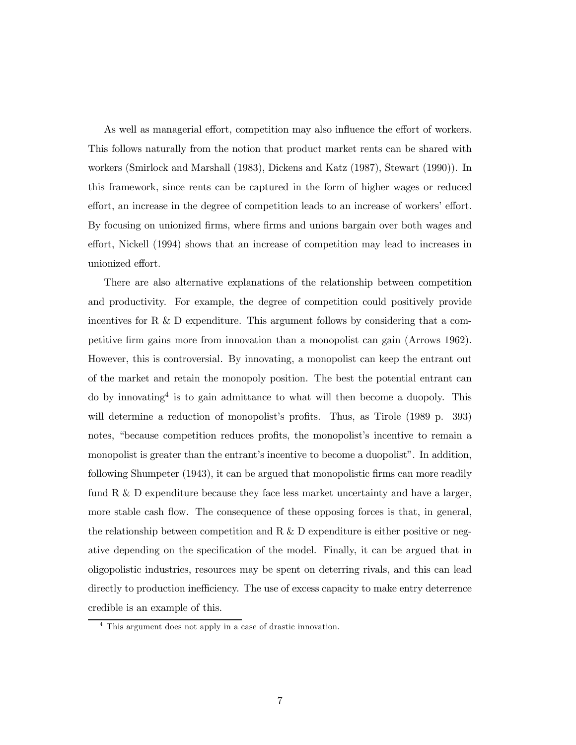As well as managerial effort, competition may also influence the effort of workers. This follows naturally from the notion that product market rents can be shared with workers (Smirlock and Marshall (1983), Dickens and Katz (1987), Stewart (1990)). In this framework, since rents can be captured in the form of higher wages or reduced effort, an increase in the degree of competition leads to an increase of workers' effort. By focusing on unionized firms, where firms and unions bargain over both wages and effort, Nickell (1994) shows that an increase of competition may lead to increases in unionized effort.

There are also alternative explanations of the relationship between competition and productivity. For example, the degree of competition could positively provide incentives for R  $\&$  D expenditure. This argument follows by considering that a competitive firm gains more from innovation than a monopolist can gain (Arrows 1962). However, this is controversial. By innovating, a monopolist can keep the entrant out of the market and retain the monopoly position. The best the potential entrant can do by innovating<sup>4</sup> is to gain admittance to what will then become a duopoly. This will determine a reduction of monopolist's profits. Thus, as Tirole (1989 p. 393) notes, "because competition reduces profits, the monopolist's incentive to remain a monopolist is greater than the entrant's incentive to become a duopolist". In addition, following Shumpeter (1943), it can be argued that monopolistic firms can more readily fund R & D expenditure because they face less market uncertainty and have a larger, more stable cash flow. The consequence of these opposing forces is that, in general, the relationship between competition and R  $\&$  D expenditure is either positive or negative depending on the specification of the model. Finally, it can be argued that in oligopolistic industries, resources may be spent on deterring rivals, and this can lead directly to production inefficiency. The use of excess capacity to make entry deterrence credible is an example of this.

<sup>4</sup> This argument does not apply in a case of drastic innovation.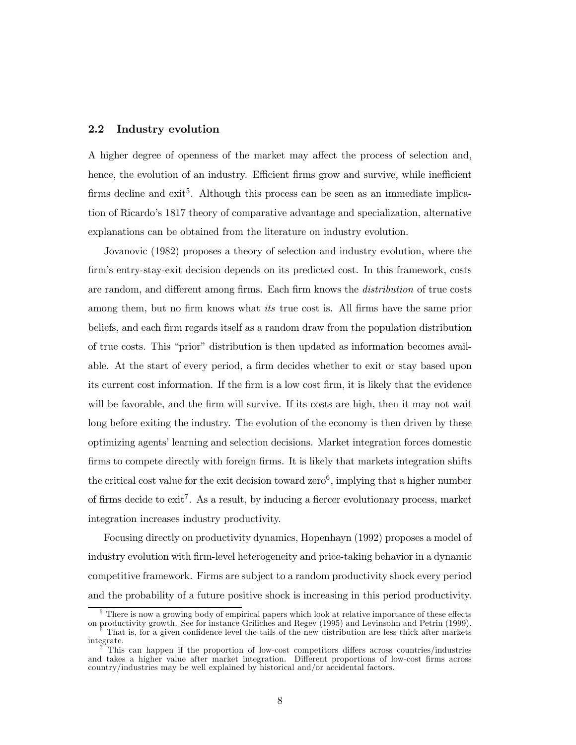#### 2.2 Industry evolution

A higher degree of openness of the market may affect the process of selection and, hence, the evolution of an industry. Efficient firms grow and survive, while inefficient firms decline and  $ext{exit}^5$ . Although this process can be seen as an immediate implication of Ricardo's 1817 theory of comparative advantage and specialization, alternative explanations can be obtained from the literature on industry evolution.

Jovanovic (1982) proposes a theory of selection and industry evolution, where the firm's entry-stay-exit decision depends on its predicted cost. In this framework, costs are random, and different among firms. Each firm knows the *distribution* of true costs among them, but no firm knows what *its* true cost is. All firms have the same prior beliefs, and each firm regards itself as a random draw from the population distribution of true costs. This "prior" distribution is then updated as information becomes available. At the start of every period, a firm decides whether to exit or stay based upon its current cost information. If the firm is a low cost firm, it is likely that the evidence will be favorable, and the firm will survive. If its costs are high, then it may not wait long before exiting the industry. The evolution of the economy is then driven by these optimizing agents' learning and selection decisions. Market integration forces domestic firms to compete directly with foreign firms. It is likely that markets integration shifts the critical cost value for the exit decision toward zero<sup>6</sup>, implying that a higher number of firms decide to  $\text{exit}^7$ . As a result, by inducing a fiercer evolutionary process, market integration increases industry productivity.

Focusing directly on productivity dynamics, Hopenhayn (1992) proposes a model of industry evolution with firm-level heterogeneity and price-taking behavior in a dynamic competitive framework. Firms are subject to a random productivity shock every period and the probability of a future positive shock is increasing in this period productivity.

 $5$  There is now a growing body of empirical papers which look at relative importance of these effects on productivity growth. See for instance Griliches and Regev (1995) and Levinsohn and Petrin (1999).  $\delta$  That is, for a given confidence level the tails of the new distribution are less thick after markets integrate.

This can happen if the proportion of low-cost competitors differs across countries/industries and takes a higher value after market integration. Different proportions of low-cost firms across country/industries may be well explained by historical and/or accidental factors.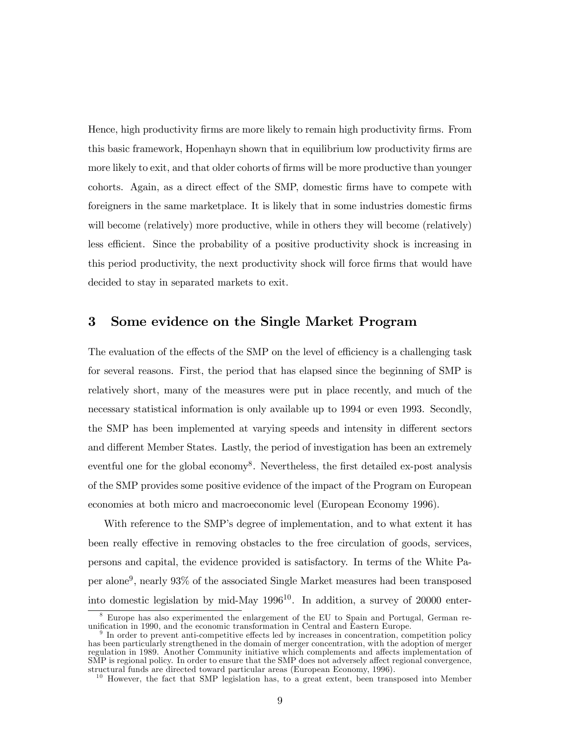Hence, high productivity firms are more likely to remain high productivity firms. From this basic framework, Hopenhayn shown that in equilibrium low productivity firms are more likely to exit, and that older cohorts of firms will be more productive than younger cohorts. Again, as a direct effect of the SMP, domestic firms have to compete with foreigners in the same marketplace. It is likely that in some industries domestic firms will become (relatively) more productive, while in others they will become (relatively) less efficient. Since the probability of a positive productivity shock is increasing in this period productivity, the next productivity shock will force firms that would have decided to stay in separated markets to exit.

### 3 Some evidence on the Single Market Program

The evaluation of the effects of the SMP on the level of efficiency is a challenging task for several reasons. First, the period that has elapsed since the beginning of SMP is relatively short, many of the measures were put in place recently, and much of the necessary statistical information is only available up to 1994 or even 1993. Secondly, the SMP has been implemented at varying speeds and intensity in different sectors and different Member States. Lastly, the period of investigation has been an extremely eventful one for the global economy<sup>8</sup>. Nevertheless, the first detailed ex-post analysis of the SMP provides some positive evidence of the impact of the Program on European economies at both micro and macroeconomic level (European Economy 1996).

With reference to the SMP's degree of implementation, and to what extent it has been really effective in removing obstacles to the free circulation of goods, services, persons and capital, the evidence provided is satisfactory. In terms of the White Paper alone9, nearly 93% of the associated Single Market measures had been transposed into domestic legislation by mid-May 1996<sup>10</sup>. In addition, a survey of 20000 enter-

<sup>8</sup> Europe has also experimented the enlargement of the EU to Spain and Portugal, German reunification in 1990, and the economic transformation in Central and Eastern Europe.

In order to prevent anti-competitive effects led by increases in concentration, competition policy has been particularly strengthened in the domain of merger concentration, with the adoption of merger regulation in 1989. Another Community initiative which complements and affects implementation of SMP is regional policy. In order to ensure that the SMP does not adversely affect regional convergence, structural funds are directed toward particular areas (European Economy, 1996).

 $10$  However, the fact that SMP legislation has, to a great extent, been transposed into Member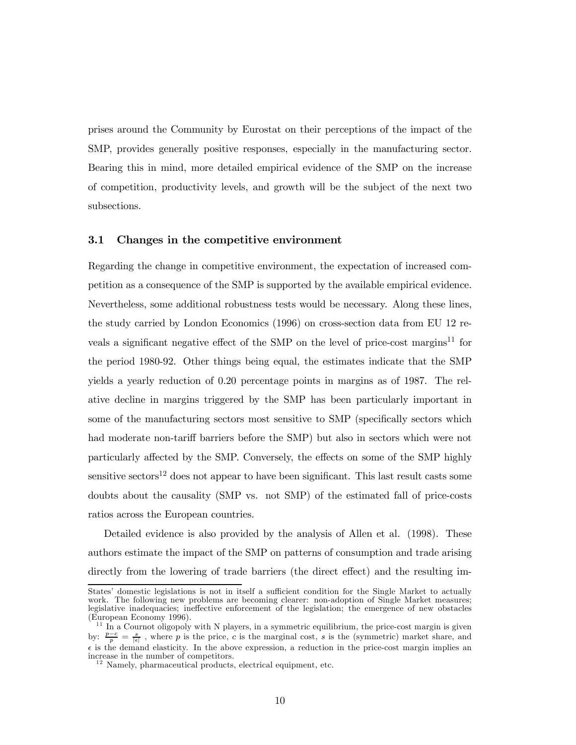prises around the Community by Eurostat on their perceptions of the impact of the SMP, provides generally positive responses, especially in the manufacturing sector. Bearing this in mind, more detailed empirical evidence of the SMP on the increase of competition, productivity levels, and growth will be the subject of the next two subsections.

#### 3.1 Changes in the competitive environment

Regarding the change in competitive environment, the expectation of increased competition as a consequence of the SMP is supported by the available empirical evidence. Nevertheless, some additional robustness tests would be necessary. Along these lines, the study carried by London Economics (1996) on cross-section data from EU 12 reveals a significant negative effect of the SMP on the level of price-cost margins<sup>11</sup> for the period 1980-92. Other things being equal, the estimates indicate that the SMP yields a yearly reduction of 0.20 percentage points in margins as of 1987. The relative decline in margins triggered by the SMP has been particularly important in some of the manufacturing sectors most sensitive to SMP (specifically sectors which had moderate non-tariff barriers before the SMP) but also in sectors which were not particularly affected by the SMP. Conversely, the effects on some of the SMP highly sensitive sectors<sup>12</sup> does not appear to have been significant. This last result casts some doubts about the causality (SMP vs. not SMP) of the estimated fall of price-costs ratios across the European countries.

Detailed evidence is also provided by the analysis of Allen et al. (1998). These authors estimate the impact of the SMP on patterns of consumption and trade arising directly from the lowering of trade barriers (the direct effect) and the resulting im-

States' domestic legislations is not in itself a sufficient condition for the Single Market to actually work. The following new problems are becoming clearer: non-adoption of Single Market measures; legislative inadequacies; ineffective enforcement of the legislation; the emergence of new obstacles (European Economy 1996).

 $^{11}$  In a Cournot oligopoly with N players, in a symmetric equilibrium, the price-cost margin is given by:  $\frac{p-c}{p} = \frac{s}{|\epsilon|}$ , where p is the price, c is the marginal cost, s is the (symmetric) market share, and  $\epsilon$  is the demand elasticity. In the above expression, a reduction in the price-cost margin implies an increase in the number of competitors.

 $\frac{12}{12}$  Namely, pharmaceutical products, electrical equipment, etc.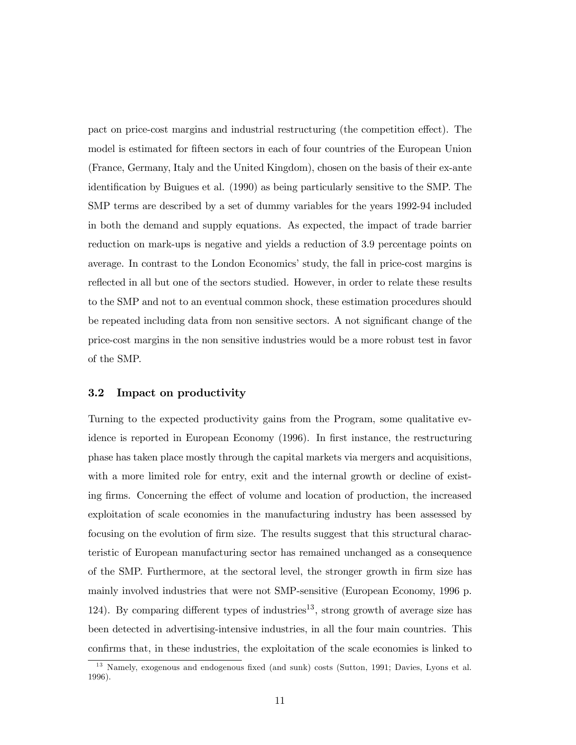pact on price-cost margins and industrial restructuring (the competition effect). The model is estimated for fifteen sectors in each of four countries of the European Union (France, Germany, Italy and the United Kingdom), chosen on the basis of their ex-ante identification by Buigues et al. (1990) as being particularly sensitive to the SMP. The SMP terms are described by a set of dummy variables for the years 1992-94 included in both the demand and supply equations. As expected, the impact of trade barrier reduction on mark-ups is negative and yields a reduction of 3.9 percentage points on average. In contrast to the London Economics' study, the fall in price-cost margins is reflected in all but one of the sectors studied. However, in order to relate these results to the SMP and not to an eventual common shock, these estimation procedures should be repeated including data from non sensitive sectors. A not significant change of the price-cost margins in the non sensitive industries would be a more robust test in favor of the SMP.

#### 3.2 Impact on productivity

Turning to the expected productivity gains from the Program, some qualitative evidence is reported in European Economy (1996). In first instance, the restructuring phase has taken place mostly through the capital markets via mergers and acquisitions, with a more limited role for entry, exit and the internal growth or decline of existing firms. Concerning the effect of volume and location of production, the increased exploitation of scale economies in the manufacturing industry has been assessed by focusing on the evolution of firm size. The results suggest that this structural characteristic of European manufacturing sector has remained unchanged as a consequence of the SMP. Furthermore, at the sectoral level, the stronger growth in firm size has mainly involved industries that were not SMP-sensitive (European Economy, 1996 p. 124). By comparing different types of industries<sup>13</sup>, strong growth of average size has been detected in advertising-intensive industries, in all the four main countries. This confirms that, in these industries, the exploitation of the scale economies is linked to

<sup>&</sup>lt;sup>13</sup> Namely, exogenous and endogenous fixed (and sunk) costs (Sutton, 1991; Davies, Lyons et al. 1996).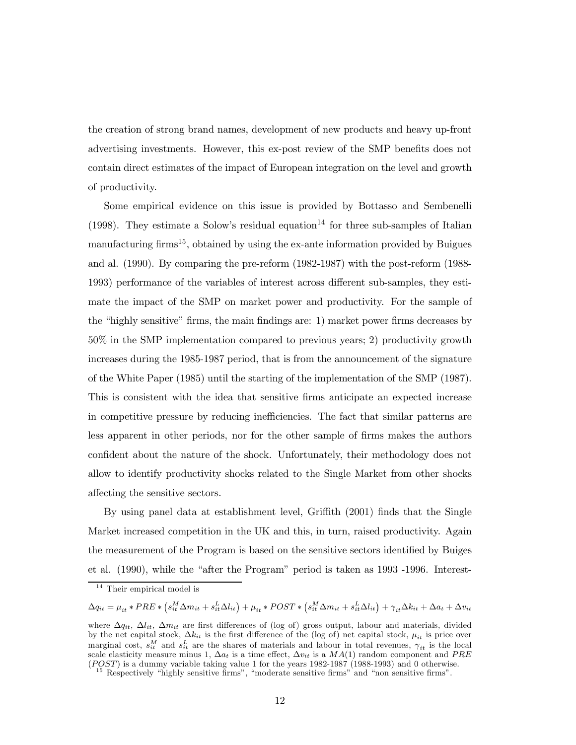the creation of strong brand names, development of new products and heavy up-front advertising investments. However, this ex-post review of the SMP benefits does not contain direct estimates of the impact of European integration on the level and growth of productivity.

Some empirical evidence on this issue is provided by Bottasso and Sembenelli (1998). They estimate a Solow's residual equation<sup>14</sup> for three sub-samples of Italian manufacturing firms<sup>15</sup>, obtained by using the ex-ante information provided by Buigues and al. (1990). By comparing the pre-reform (1982-1987) with the post-reform (1988- 1993) performance of the variables of interest across different sub-samples, they estimate the impact of the SMP on market power and productivity. For the sample of the "highly sensitive" firms, the main findings are: 1) market power firms decreases by 50% in the SMP implementation compared to previous years; 2) productivity growth increases during the 1985-1987 period, that is from the announcement of the signature of the White Paper (1985) until the starting of the implementation of the SMP (1987). This is consistent with the idea that sensitive firms anticipate an expected increase in competitive pressure by reducing inefficiencies. The fact that similar patterns are less apparent in other periods, nor for the other sample of firms makes the authors confident about the nature of the shock. Unfortunately, their methodology does not allow to identify productivity shocks related to the Single Market from other shocks affecting the sensitive sectors.

By using panel data at establishment level, Griffith (2001) finds that the Single Market increased competition in the UK and this, in turn, raised productivity. Again the measurement of the Program is based on the sensitive sectors identified by Buiges et al. (1990), while the "after the Program" period is taken as 1993 -1996. Interest-

 $\Delta q_{it} = \mu_{it} * PRE * \left(s_{it}^M \Delta m_{it} + s_{it}^L \Delta l_{it}\right) + \mu_{it} * POST * \left(s_{it}^M \Delta m_{it} + s_{it}^L \Delta l_{it}\right) + \gamma_{it} \Delta k_{it} + \Delta a_t + \Delta v_{it}$ 

 $14$  Their empirical model is

where  $\Delta q_{it}$ ,  $\Delta l_{it}$ ,  $\Delta m_{it}$  are first differences of (log of) gross output, labour and materials, divided by the net capital stock,  $\Delta k_{it}$  is the first difference of the (log of) net capital stock,  $\mu_{it}$  is price over marginal cost,  $s_{it}^M$  and  $s_{it}^L$  are the shares of materials and labour in total revenues,  $\gamma_{it}$  is the local scale elasticity measure minus 1,  $\Delta a_t$  is a time effect,  $\Delta v_{it}$  is a  $MA(1)$  random component and  $PRE$ (POST) is a dummy variable taking value 1 for the years 1982-1987 (1988-1993) and 0 otherwise.<br><sup>15</sup> Respectively "highly sensitive firms", "moderate sensitive firms" and "non sensitive firms".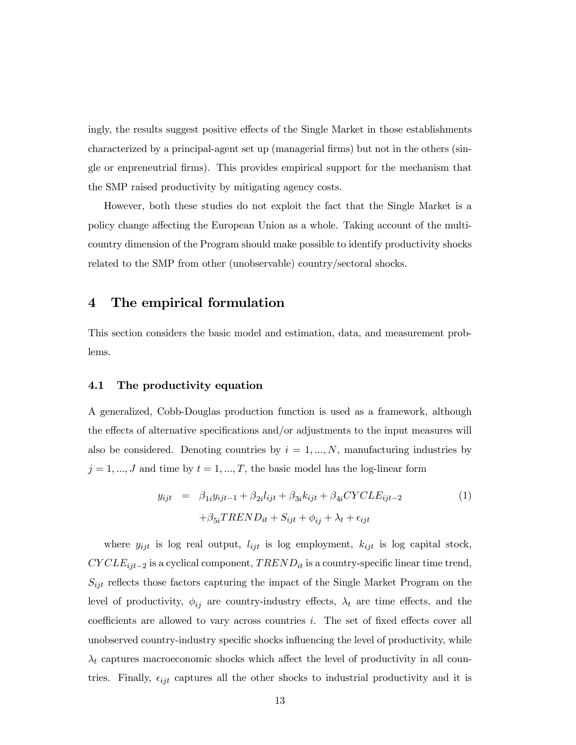ingly, the results suggest positive effects of the Single Market in those establishments characterized by a principal-agent set up (managerial firms) but not in the others (single or enpreneutrial firms). This provides empirical support for the mechanism that the SMP raised productivity by mitigating agency costs.

However, both these studies do not exploit the fact that the Single Market is a policy change affecting the European Union as a whole. Taking account of the multicountry dimension of the Program should make possible to identify productivity shocks related to the SMP from other (unobservable) country/sectoral shocks.

### 4 The empirical formulation

This section considers the basic model and estimation, data, and measurement problems.

#### 4.1 The productivity equation

A generalized, Cobb-Douglas production function is used as a framework, although the effects of alternative specifications and/or adjustments to the input measures will also be considered. Denoting countries by  $i = 1, ..., N$ , manufacturing industries by  $j = 1, ..., J$  and time by  $t = 1, ..., T$ , the basic model has the log-linear form

$$
y_{ijt} = \beta_{1i} y_{ijt-1} + \beta_{2i} l_{ijt} + \beta_{3i} k_{ijt} + \beta_{4i} CYCLE_{ijt-2}
$$
  
+
$$
\beta_{5i} TREND_{it} + S_{ijt} + \phi_{ij} + \lambda_t + \epsilon_{ijt}
$$
 (1)

where  $y_{ijt}$  is log real output,  $l_{ijt}$  is log employment,  $k_{ijt}$  is log capital stock,  $CYCLE_{ijt-2}$  is a cyclical component,  $TREND_{it}$  is a country-specific linear time trend,  $S_{ijt}$  reflects those factors capturing the impact of the Single Market Program on the level of productivity,  $\phi_{ij}$  are country-industry effects,  $\lambda_t$  are time effects, and the coefficients are allowed to vary across countries i. The set of fixed effects cover all unobserved country-industry specific shocks influencing the level of productivity, while  $\lambda_t$  captures macroeconomic shocks which affect the level of productivity in all countries. Finally,  $\epsilon_{ijt}$  captures all the other shocks to industrial productivity and it is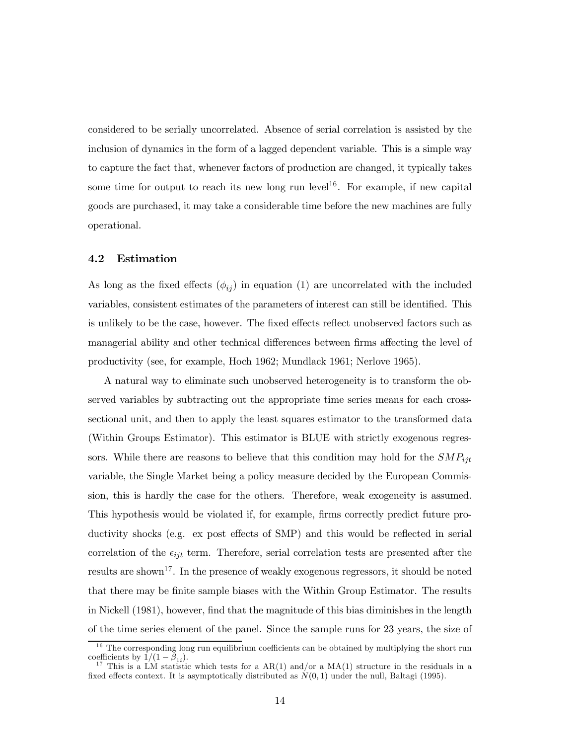considered to be serially uncorrelated. Absence of serial correlation is assisted by the inclusion of dynamics in the form of a lagged dependent variable. This is a simple way to capture the fact that, whenever factors of production are changed, it typically takes some time for output to reach its new long run level<sup>16</sup>. For example, if new capital goods are purchased, it may take a considerable time before the new machines are fully operational.

#### 4.2 Estimation

As long as the fixed effects  $(\phi_{ij})$  in equation (1) are uncorrelated with the included variables, consistent estimates of the parameters of interest can still be identified. This is unlikely to be the case, however. The fixed effects reflect unobserved factors such as managerial ability and other technical differences between firms affecting the level of productivity (see, for example, Hoch 1962; Mundlack 1961; Nerlove 1965).

A natural way to eliminate such unobserved heterogeneity is to transform the observed variables by subtracting out the appropriate time series means for each crosssectional unit, and then to apply the least squares estimator to the transformed data (Within Groups Estimator). This estimator is BLUE with strictly exogenous regressors. While there are reasons to believe that this condition may hold for the  $SMP_{ijt}$ variable, the Single Market being a policy measure decided by the European Commission, this is hardly the case for the others. Therefore, weak exogeneity is assumed. This hypothesis would be violated if, for example, firms correctly predict future productivity shocks (e.g. ex post effects of SMP) and this would be reflected in serial correlation of the  $\epsilon_{ijt}$  term. Therefore, serial correlation tests are presented after the results are shown<sup>17</sup>. In the presence of weakly exogenous regressors, it should be noted that there may be finite sample biases with the Within Group Estimator. The results in Nickell (1981), however, find that the magnitude of this bias diminishes in the length of the time series element of the panel. Since the sample runs for 23 years, the size of

<sup>&</sup>lt;sup>16</sup> The corresponding long run equilibrium coefficients can be obtained by multiplying the short run coefficients by  $1/(1 - \beta_{1i})$ .

<sup>&</sup>lt;sup>17</sup> This is a LM statistic which tests for a AR(1) and/or a MA(1) structure in the residuals in a fixed effects context. It is asymptotically distributed as  $N(0, 1)$  under the null, Baltagi (1995).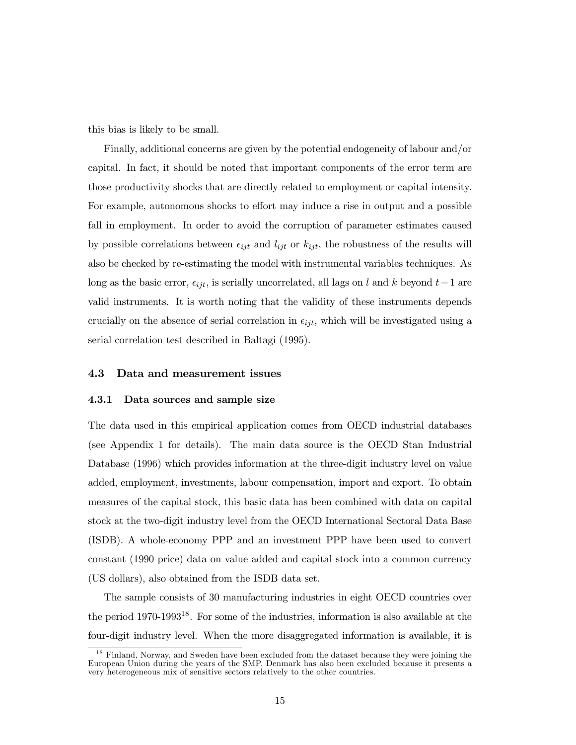this bias is likely to be small.

Finally, additional concerns are given by the potential endogeneity of labour and/or capital. In fact, it should be noted that important components of the error term are those productivity shocks that are directly related to employment or capital intensity. For example, autonomous shocks to effort may induce a rise in output and a possible fall in employment. In order to avoid the corruption of parameter estimates caused by possible correlations between  $\epsilon_{ijt}$  and  $l_{ijt}$  or  $k_{ijt}$ , the robustness of the results will also be checked by re-estimating the model with instrumental variables techniques. As long as the basic error,  $\epsilon_{ijt}$ , is serially uncorrelated, all lags on l and k beyond  $t-1$  are valid instruments. It is worth noting that the validity of these instruments depends crucially on the absence of serial correlation in  $\epsilon_{ijt}$ , which will be investigated using a serial correlation test described in Baltagi (1995).

#### 4.3 Data and measurement issues

#### 4.3.1 Data sources and sample size

The data used in this empirical application comes from OECD industrial databases (see Appendix 1 for details). The main data source is the OECD Stan Industrial Database (1996) which provides information at the three-digit industry level on value added, employment, investments, labour compensation, import and export. To obtain measures of the capital stock, this basic data has been combined with data on capital stock at the two-digit industry level from the OECD International Sectoral Data Base (ISDB). A whole-economy PPP and an investment PPP have been used to convert constant (1990 price) data on value added and capital stock into a common currency (US dollars), also obtained from the ISDB data set.

The sample consists of 30 manufacturing industries in eight OECD countries over the period  $1970-1993^{18}$ . For some of the industries, information is also available at the four-digit industry level. When the more disaggregated information is available, it is

<sup>&</sup>lt;sup>18</sup> Finland, Norway, and Sweden have been excluded from the dataset because they were joining the European Union during the years of the SMP. Denmark has also been excluded because it presents a very heterogeneous mix of sensitive sectors relatively to the other countries.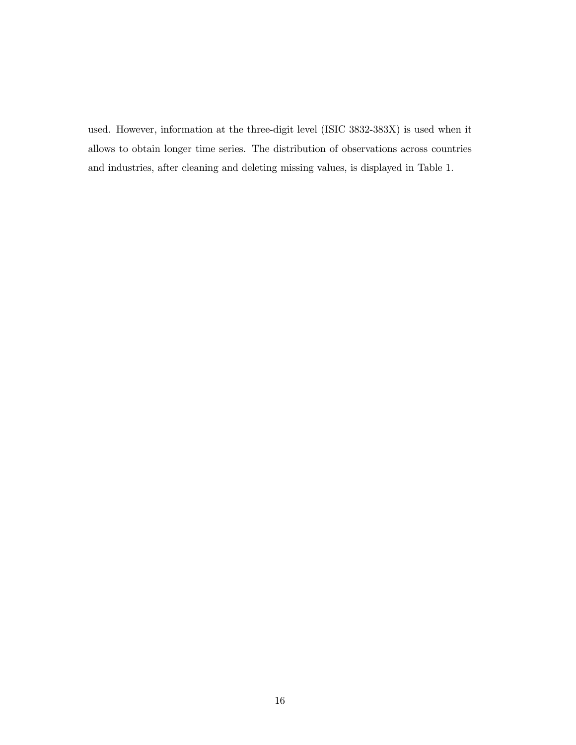used. However, information at the three-digit level (ISIC 3832-383X) is used when it allows to obtain longer time series. The distribution of observations across countries and industries, after cleaning and deleting missing values, is displayed in Table 1.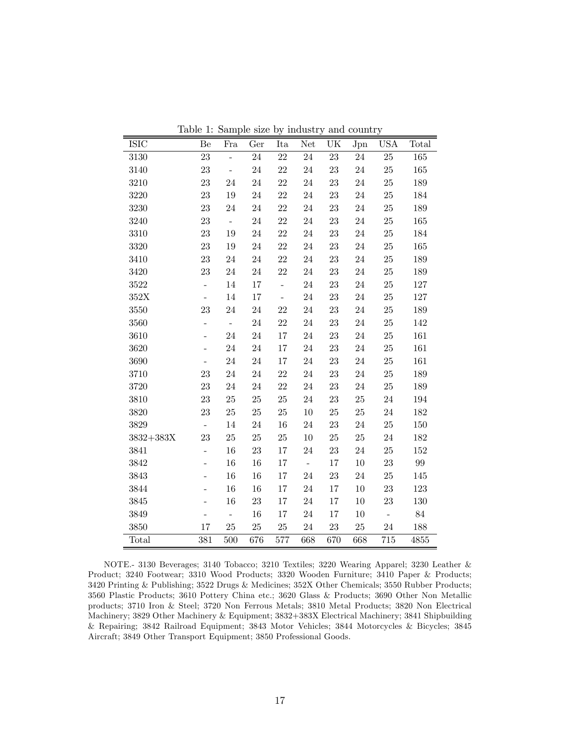| ISIC            | Be                       | Fra                       | Ger         | Ita            | Net              | UK     | Jpn    | <b>USA</b>     | Total   |
|-----------------|--------------------------|---------------------------|-------------|----------------|------------------|--------|--------|----------------|---------|
| 3130            | 23                       | $\overline{a}$            | $24\,$      | $22\,$         | $24\,$           | 23     | $24\,$ | $25\,$         | $165\,$ |
| 3140            | 23                       | $\overline{\phantom{a}}$  | $24\,$      | $22\,$         | $24\,$           | 23     | $24\,$ | $25\,$         | $165\,$ |
| 3210            | 23                       | 24                        | 24          | 22             | 24               | 23     | $24\,$ | $25\,$         | 189     |
| 3220            | 23                       | 19                        | $24\,$      | $22\,$         | $24\,$           | $23\,$ | $24\,$ | $25\,$         | 184     |
| 3230            | 23                       | 24                        | $24\,$      | $22\,$         | 24               | 23     | $24\,$ | $25\,$         | 189     |
| 3240            | 23                       | $\bar{\mathbb{Z}}$        | $24\,$      | $22\,$         | 24               | 23     | $24\,$ | $25\,$         | 165     |
| 3310            | $\bf 23$                 | 19                        | 24          | $22\,$         | 24               | 23     | 24     | $25\,$         | 184     |
| $3320\,$        | 23                       | 19                        | $24\,$      | $22\,$         | $24\,$           | 23     | $24\,$ | $25\,$         | 165     |
| 3410            | 23                       | 24                        | $24\,$      | $22\,$         | 24               | 23     | $24\,$ | $25\,$         | 189     |
| 3420            | 23                       | $\sqrt{24}$               | $24\,$      | $22\,$         | $24\,$           | $23\,$ | $24\,$ | $25\,$         | 189     |
| 3522            | $\overline{\phantom{0}}$ | $14\,$                    | $17\,$      | $\overline{a}$ | $24\,$           | 23     | $24\,$ | $25\,$         | 127     |
| $352\mathrm{X}$ | $\frac{1}{2}$            | 14                        | 17          | $\blacksquare$ | 24               | 23     | $24\,$ | $25\,$         | 127     |
| $3550\,$        | 23                       | 24                        | $24\,$      | 22             | $24\,$           | $23\,$ | $24\,$ | $25\,$         | 189     |
| 3560            | $\overline{\phantom{a}}$ | $\mathbb{L}^{\mathbb{N}}$ | $24\,$      | $22\,$         | $24\,$           | $23\,$ | $24\,$ | $25\,$         | 142     |
| 3610            | $\overline{a}$           | 24                        | $24\,$      | 17             | 24               | 23     | $24\,$ | $25\,$         | 161     |
| 3620            | $\overline{\phantom{0}}$ | 24                        | $24\,$      | 17             | 24               | $23\,$ | $24\,$ | $25\,$         | 161     |
| 3690            | $\overline{a}$           | 24                        | $24\,$      | 17             | $24\,$           | 23     | $24\,$ | $25\,$         | 161     |
| 3710            | 23                       | 24                        | $24\,$      | $22\,$         | 24               | 23     | $24\,$ | $25\,$         | 189     |
| 3720            | $\bf 23$                 | 24                        | $24\,$      | $22\,$         | $24\,$           | $23\,$ | 24     | $25\,$         | 189     |
| 3810            | 23                       | $25\,$                    | $25\,$      | $25\,$         | $24\,$           | $23\,$ | $25\,$ | $24\,$         | 194     |
| 3820            | 23                       | 25                        | $25\,$      | $25\,$         | 10               | 25     | 25     | $24\,$         | 182     |
| 3829            | $\Box$                   | $14\,$                    | $\sqrt{24}$ | 16             | $24\,$           | 23     | $24\,$ | $25\,$         | $150\,$ |
| $3832 + 383X$   | 23                       | 25                        | $25\,$      | $25\,$         | $10\,$           | $25\,$ | $25\,$ | $24\,$         | $182\,$ |
| 3841            | $\overline{a}$           | 16                        | 23          | 17             | 24               | 23     | $24\,$ | 25             | 152     |
| 3842            | $\overline{\phantom{0}}$ | 16                        | 16          | $17\,$         | $\omega_{\rm c}$ | 17     | $10\,$ | $\bf 23$       | 99      |
| $3843\,$        | $\overline{a}$           | 16                        | 16          | 17             | 24               | 23     | $24\,$ | $25\,$         | $145\,$ |
| 3844            | $\overline{a}$           | 16                        | 16          | 17             | 24               | 17     | $10\,$ | $\bf 23$       | 123     |
| 3845            | $\overline{\phantom{0}}$ | 16                        | $23\,$      | 17             | 24               | 17     | 10     | $\bf 23$       | 130     |
| 3849            |                          | $\bar{\mathcal{L}}$       | 16          | 17             | $24\,$           | 17     | 10     | $\overline{a}$ | 84      |
| 3850            | 17                       | 25                        | $25\,$      | $25\,$         | 24               | 23     | $25\,$ | $24\,$         | 188     |
| Total           | 381                      | 500                       | 676         | 577            | 668              | 670    | 668    | 715            | 4855    |

Table 1: Sample size by industry and country

NOTE.- 3130 Beverages; 3140 Tobacco; 3210 Textiles; 3220 Wearing Apparel; 3230 Leather & Product; 3240 Footwear; 3310 Wood Products; 3320 Wooden Furniture; 3410 Paper & Products; 3420 Printing & Publishing; 3522 Drugs & Medicines; 352X Other Chemicals; 3550 Rubber Products; 3560 Plastic Products; 3610 Pottery China etc.; 3620 Glass & Products; 3690 Other Non Metallic products; 3710 Iron & Steel; 3720 Non Ferrous Metals; 3810 Metal Products; 3820 Non Electrical Machinery; 3829 Other Machinery & Equipment; 3832+383X Electrical Machinery; 3841 Shipbuilding & Repairing; 3842 Railroad Equipment; 3843 Motor Vehicles; 3844 Motorcycles & Bicycles; 3845 Aircraft; 3849 Other Transport Equipment; 3850 Professional Goods.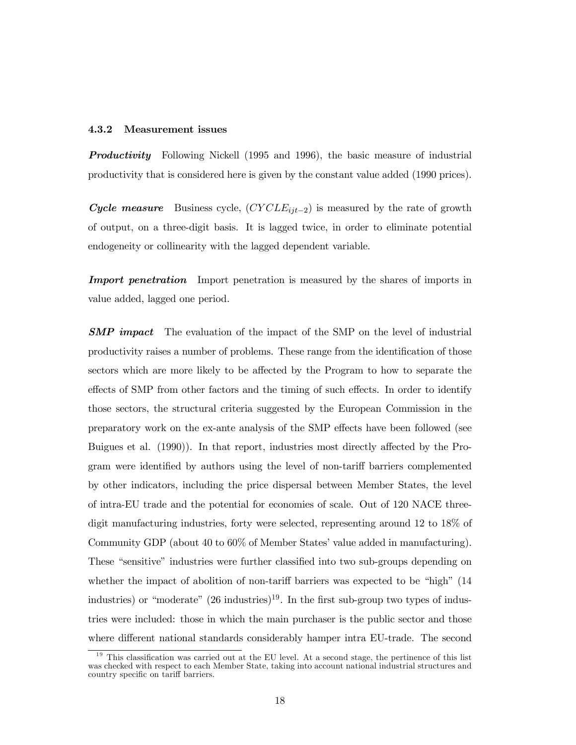#### 4.3.2 Measurement issues

**Productivity** Following Nickell (1995 and 1996), the basic measure of industrial productivity that is considered here is given by the constant value added (1990 prices).

Cycle measure Business cycle,  $(CYCLE_{ijt-2})$  is measured by the rate of growth of output, on a three-digit basis. It is lagged twice, in order to eliminate potential endogeneity or collinearity with the lagged dependent variable.

**Import penetration** Import penetration is measured by the shares of imports in value added, lagged one period.

**SMP** impact The evaluation of the impact of the SMP on the level of industrial productivity raises a number of problems. These range from the identification of those sectors which are more likely to be affected by the Program to how to separate the effects of SMP from other factors and the timing of such effects. In order to identify those sectors, the structural criteria suggested by the European Commission in the preparatory work on the ex-ante analysis of the SMP effects have been followed (see Buigues et al. (1990)). In that report, industries most directly affected by the Program were identified by authors using the level of non-tariff barriers complemented by other indicators, including the price dispersal between Member States, the level of intra-EU trade and the potential for economies of scale. Out of 120 NACE threedigit manufacturing industries, forty were selected, representing around 12 to 18% of Community GDP (about 40 to 60% of Member States' value added in manufacturing). These "sensitive" industries were further classified into two sub-groups depending on whether the impact of abolition of non-tariff barriers was expected to be "high" (14 industries) or "moderate"  $(26 \text{ inductries})^{19}$ . In the first sub-group two types of industries were included: those in which the main purchaser is the public sector and those where different national standards considerably hamper intra EU-trade. The second

 $19$  This classification was carried out at the EU level. At a second stage, the pertinence of this list was checked with respect to each Member State, taking into account national industrial structures and country specific on tariff barriers.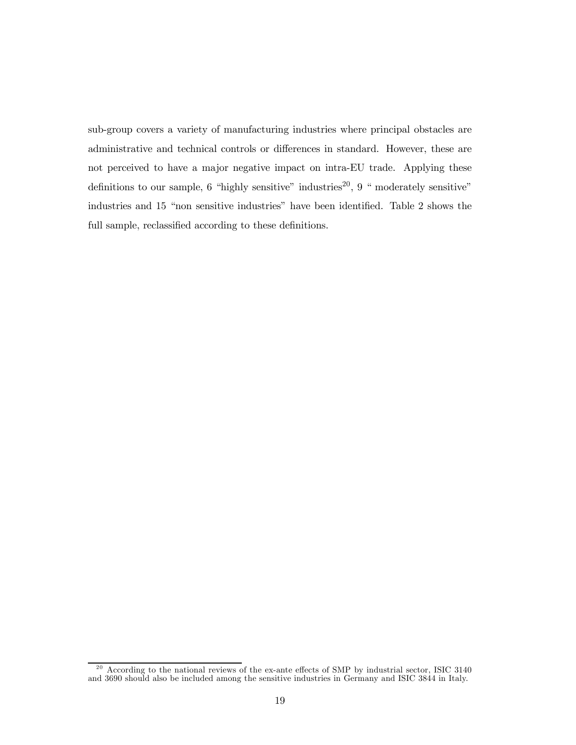sub-group covers a variety of manufacturing industries where principal obstacles are administrative and technical controls or differences in standard. However, these are not perceived to have a major negative impact on intra-EU trade. Applying these definitions to our sample, 6 "highly sensitive" industries<sup>20</sup>, 9 " moderately sensitive" industries and 15 "non sensitive industries" have been identified. Table 2 shows the full sample, reclassified according to these definitions.

 $^{20}$  According to the national reviews of the ex-ante effects of SMP by industrial sector, ISIC 3140 and 3690 should also be included among the sensitive industries in Germany and ISIC 3844 in Italy.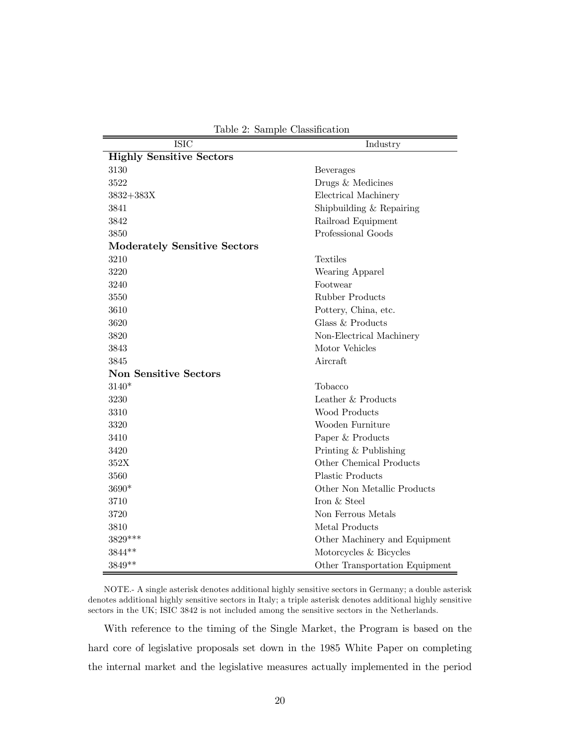|  |  | Table 2: Sample Classification |
|--|--|--------------------------------|
|--|--|--------------------------------|

| <b>ISIC</b>                         | Industry                       |  |  |  |
|-------------------------------------|--------------------------------|--|--|--|
| <b>Highly Sensitive Sectors</b>     |                                |  |  |  |
| 3130                                | <b>Beverages</b>               |  |  |  |
| 3522                                | Drugs & Medicines              |  |  |  |
| $3832 + 383X$                       | Electrical Machinery           |  |  |  |
| 3841                                | Shipbuilding & Repairing       |  |  |  |
| 3842                                | Railroad Equipment             |  |  |  |
| 3850                                | Professional Goods             |  |  |  |
| <b>Moderately Sensitive Sectors</b> |                                |  |  |  |
| 3210                                | Textiles                       |  |  |  |
| 3220                                | Wearing Apparel                |  |  |  |
| 3240                                | Footwear                       |  |  |  |
| 3550                                | <b>Rubber Products</b>         |  |  |  |
| 3610                                | Pottery, China, etc.           |  |  |  |
| 3620                                | Glass & Products               |  |  |  |
| 3820                                | Non-Electrical Machinery       |  |  |  |
| 3843                                | Motor Vehicles                 |  |  |  |
| 3845                                | Aircraft                       |  |  |  |
| <b>Non Sensitive Sectors</b>        |                                |  |  |  |
| 3140*                               | Tobacco                        |  |  |  |
| 3230                                | Leather & Products             |  |  |  |
| 3310                                | <b>Wood Products</b>           |  |  |  |
| 3320                                | Wooden Furniture               |  |  |  |
| 3410                                | Paper & Products               |  |  |  |
| 3420                                | Printing & Publishing          |  |  |  |
| 352X                                | Other Chemical Products        |  |  |  |
| 3560                                | <b>Plastic Products</b>        |  |  |  |
| 3690*                               | Other Non Metallic Products    |  |  |  |
| 3710                                | Iron & Steel                   |  |  |  |
| 3720                                | Non Ferrous Metals             |  |  |  |
| 3810                                | Metal Products                 |  |  |  |
| 3829***                             | Other Machinery and Equipment  |  |  |  |
| 3844**                              | Motorcycles & Bicycles         |  |  |  |
| 3849**                              | Other Transportation Equipment |  |  |  |

NOTE.- A single asterisk denotes additional highly sensitive sectors in Germany; a double asterisk denotes additional highly sensitive sectors in Italy; a triple asterisk denotes additional highly sensitive sectors in the UK; ISIC 3842 is not included among the sensitive sectors in the Netherlands.

With reference to the timing of the Single Market, the Program is based on the hard core of legislative proposals set down in the 1985 White Paper on completing the internal market and the legislative measures actually implemented in the period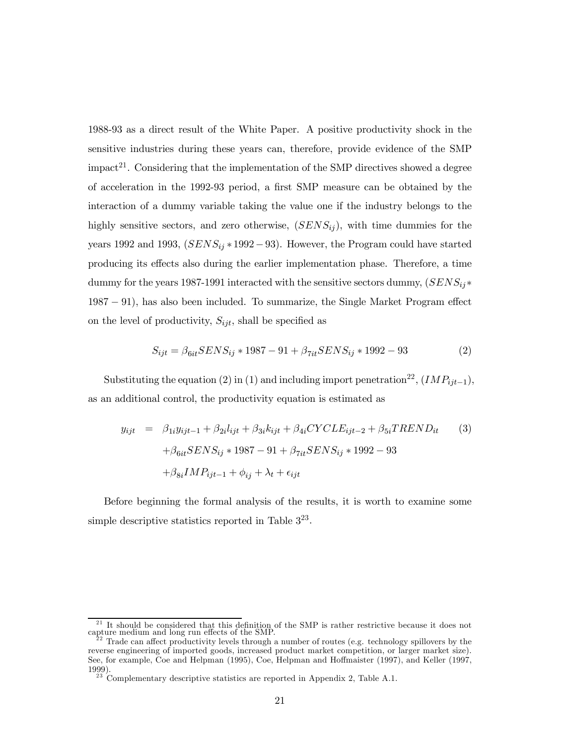1988-93 as a direct result of the White Paper. A positive productivity shock in the sensitive industries during these years can, therefore, provide evidence of the SMP impact<sup>21</sup>. Considering that the implementation of the SMP directives showed a degree of acceleration in the 1992-93 period, a first SMP measure can be obtained by the interaction of a dummy variable taking the value one if the industry belongs to the highly sensitive sectors, and zero otherwise,  $(SENS_{ij})$ , with time dummies for the years 1992 and 1993,  $(SENS_{ij} * 1992-93)$ . However, the Program could have started producing its effects also during the earlier implementation phase. Therefore, a time dummy for the years 1987-1991 interacted with the sensitive sectors dummy,  $(SENS_{ij}^*$ 1987 − 91), has also been included. To summarize, the Single Market Program effect on the level of productivity,  $S_{ijt}$ , shall be specified as

$$
S_{ijt} = \beta_{6it} SENS_{ij} * 1987 - 91 + \beta_{7it} SENS_{ij} * 1992 - 93
$$
 (2)

Substituting the equation (2) in (1) and including import penetration<sup>22</sup>,  $(IMP_{ijt-1}),$ as an additional control, the productivity equation is estimated as

$$
y_{ijt} = \beta_{1i} y_{ijt-1} + \beta_{2i} l_{ijt} + \beta_{3i} k_{ijt} + \beta_{4i} CYCLE_{ijt-2} + \beta_{5i} TREND_{it}
$$
  
+
$$
\beta_{6it} SENS_{ij} * 1987 - 91 + \beta_{7it} SENS_{ij} * 1992 - 93
$$
  
+
$$
\beta_{8i} IMP_{ijt-1} + \phi_{ij} + \lambda_t + \epsilon_{ijt}
$$
 (3)

Before beginning the formal analysis of the results, it is worth to examine some simple descriptive statistics reported in Table  $3^{23}$ .

<sup>&</sup>lt;sup>21</sup> It should be considered that this definition of the SMP is rather restrictive because it does not capture medium and long run effects of the SMP.

Trade can affect productivity levels through a number of routes (e.g. technology spillovers by the reverse engineering of imported goods, increased product market competition, or larger market size). See, for example, Coe and Helpman (1995), Coe, Helpman and Hoffmaister (1997), and Keller (1997, 1999). <sup>23</sup> Complementary descriptive statistics are reported in Appendix 2, Table A.1.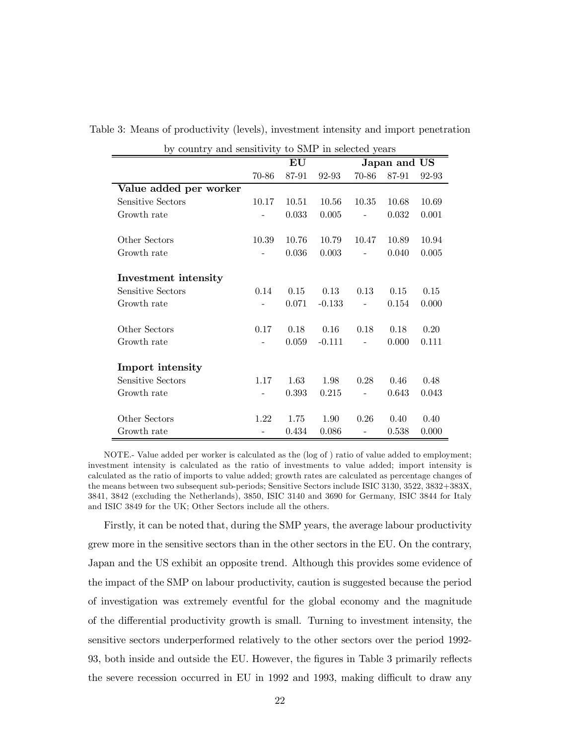| by country and sensitivity to SMP in selected years |       |                        |          |              |       |       |  |
|-----------------------------------------------------|-------|------------------------|----------|--------------|-------|-------|--|
|                                                     |       | $\mathbf{E}\mathbf{U}$ |          | Japan and US |       |       |  |
|                                                     | 70-86 | 87-91                  | 92-93    | 70-86        | 87-91 | 92-93 |  |
| Value added per worker                              |       |                        |          |              |       |       |  |
| Sensitive Sectors                                   | 10.17 | 10.51                  | 10.56    | 10.35        | 10.68 | 10.69 |  |
| Growth rate                                         |       | 0.033                  | 0.005    |              | 0.032 | 0.001 |  |
|                                                     |       |                        |          |              |       |       |  |
| Other Sectors                                       | 10.39 | 10.76                  | 10.79    | 10.47        | 10.89 | 10.94 |  |
| Growth rate                                         |       | 0.036                  | 0.003    |              | 0.040 | 0.005 |  |
| Investment intensity                                |       |                        |          |              |       |       |  |
| Sensitive Sectors                                   | 0.14  | 0.15                   | 0.13     | 0.13         | 0.15  | 0.15  |  |
|                                                     |       |                        |          |              |       |       |  |
| Growth rate                                         |       | 0.071                  | $-0.133$ |              | 0.154 | 0.000 |  |
| Other Sectors                                       | 0.17  | 0.18                   | 0.16     | 0.18         | 0.18  | 0.20  |  |
| Growth rate                                         |       | 0.059                  | $-0.111$ |              | 0.000 | 0.111 |  |
|                                                     |       |                        |          |              |       |       |  |
| Import intensity                                    |       |                        |          |              |       |       |  |
| Sensitive Sectors                                   | 1.17  | 1.63                   | 1.98     | 0.28         | 0.46  | 0.48  |  |
| Growth rate                                         |       | 0.393                  | 0.215    |              | 0.643 | 0.043 |  |
|                                                     |       |                        |          |              |       |       |  |
| Other Sectors                                       | 1.22  | 1.75                   | 1.90     | 0.26         | 0.40  | 0.40  |  |
| Growth rate                                         |       | 0.434                  | 0.086    |              | 0.538 | 0.000 |  |

Table 3: Means of productivity (levels), investment intensity and import penetration

NOTE.- Value added per worker is calculated as the (log of ) ratio of value added to employment; investment intensity is calculated as the ratio of investments to value added; import intensity is calculated as the ratio of imports to value added; growth rates are calculated as percentage changes of the means between two subsequent sub-periods; Sensitive Sectors include ISIC 3130, 3522, 3832+383X, 3841, 3842 (excluding the Netherlands), 3850, ISIC 3140 and 3690 for Germany, ISIC 3844 for Italy and ISIC 3849 for the UK; Other Sectors include all the others.

Firstly, it can be noted that, during the SMP years, the average labour productivity grew more in the sensitive sectors than in the other sectors in the EU. On the contrary, Japan and the US exhibit an opposite trend. Although this provides some evidence of the impact of the SMP on labour productivity, caution is suggested because the period of investigation was extremely eventful for the global economy and the magnitude of the differential productivity growth is small. Turning to investment intensity, the sensitive sectors underperformed relatively to the other sectors over the period 1992- 93, both inside and outside the EU. However, the figures in Table 3 primarily reflects the severe recession occurred in EU in 1992 and 1993, making difficult to draw any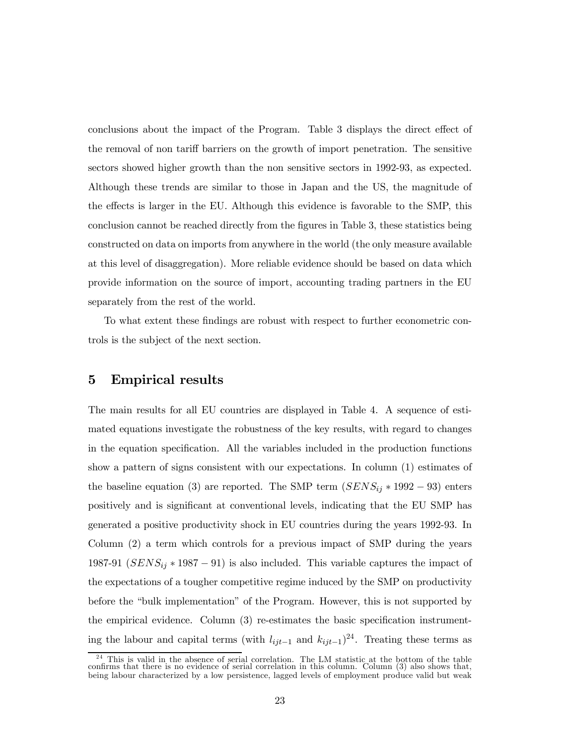conclusions about the impact of the Program. Table 3 displays the direct effect of the removal of non tariff barriers on the growth of import penetration. The sensitive sectors showed higher growth than the non sensitive sectors in 1992-93, as expected. Although these trends are similar to those in Japan and the US, the magnitude of the effects is larger in the EU. Although this evidence is favorable to the SMP, this conclusion cannot be reached directly from the figures in Table 3, these statistics being constructed on data on imports from anywhere in the world (the only measure available at this level of disaggregation). More reliable evidence should be based on data which provide information on the source of import, accounting trading partners in the EU separately from the rest of the world.

To what extent these findings are robust with respect to further econometric controls is the subject of the next section.

### 5 Empirical results

The main results for all EU countries are displayed in Table 4. A sequence of estimated equations investigate the robustness of the key results, with regard to changes in the equation specification. All the variables included in the production functions show a pattern of signs consistent with our expectations. In column (1) estimates of the baseline equation (3) are reported. The SMP term  $(SENS_{ij} * 1992 - 93)$  enters positively and is significant at conventional levels, indicating that the EU SMP has generated a positive productivity shock in EU countries during the years 1992-93. In Column (2) a term which controls for a previous impact of SMP during the years 1987-91 ( $SENS_{ij} * 1987 - 91$ ) is also included. This variable captures the impact of the expectations of a tougher competitive regime induced by the SMP on productivity before the "bulk implementation" of the Program. However, this is not supported by the empirical evidence. Column (3) re-estimates the basic specification instrumenting the labour and capital terms (with  $l_{ijt-1}$  and  $k_{ijt-1}$ )<sup>24</sup>. Treating these terms as

 $\frac{24}{24}$  This is valid in the absence of serial correlation. The LM statistic at the bottom of the table confirms that there is no evidence of serial correlation in this column. Column (3) also shows that, being labour characterized by a low persistence, lagged levels of employment produce valid but weak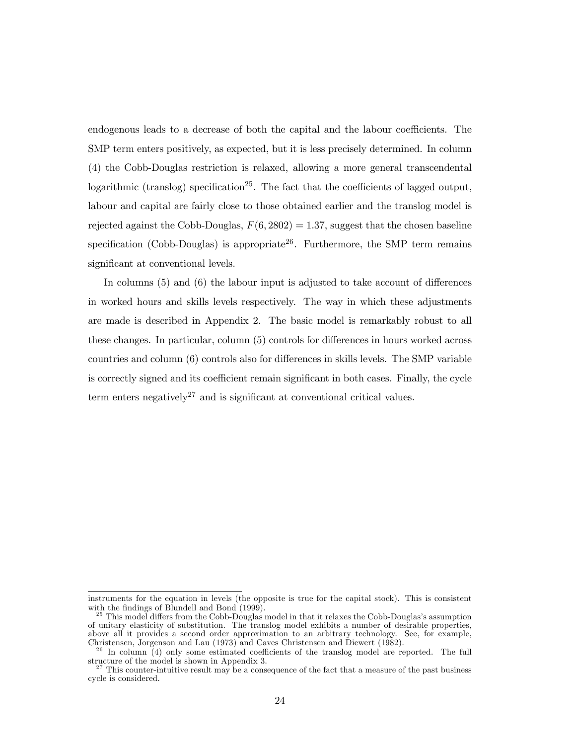endogenous leads to a decrease of both the capital and the labour coefficients. The SMP term enters positively, as expected, but it is less precisely determined. In column (4) the Cobb-Douglas restriction is relaxed, allowing a more general transcendental logarithmic (translog) specification<sup>25</sup>. The fact that the coefficients of lagged output, labour and capital are fairly close to those obtained earlier and the translog model is rejected against the Cobb-Douglas,  $F(6, 2802) = 1.37$ , suggest that the chosen baseline specification (Cobb-Douglas) is appropriate  $2^6$ . Furthermore, the SMP term remains significant at conventional levels.

In columns (5) and (6) the labour input is adjusted to take account of differences in worked hours and skills levels respectively. The way in which these adjustments are made is described in Appendix 2. The basic model is remarkably robust to all these changes. In particular, column (5) controls for differences in hours worked across countries and column (6) controls also for differences in skills levels. The SMP variable is correctly signed and its coefficient remain significant in both cases. Finally, the cycle term enters negatively<sup>27</sup> and is significant at conventional critical values.

instruments for the equation in levels (the opposite is true for the capital stock). This is consistent

 $^{25}$  This model differs from the Cobb-Douglas model in that it relaxes the Cobb-Douglas's assumption of unitary elasticity of substitution. The translog model exhibits a number of desirable properties, above all it provides a second order approximation to an arbitrary technology. See, for example, Christensen, Jorgenson and Lau (1973) and Caves Christensen and Diewert (1982).<br><sup>26</sup> In column (4) only some estimated coefficients of the translog model are reported. The full

structure of the model is shown in Appendix 3.  $\frac{27}{27}$  This counter-intuitive result may be a consequence of the fact that a measure of the past business

cycle is considered.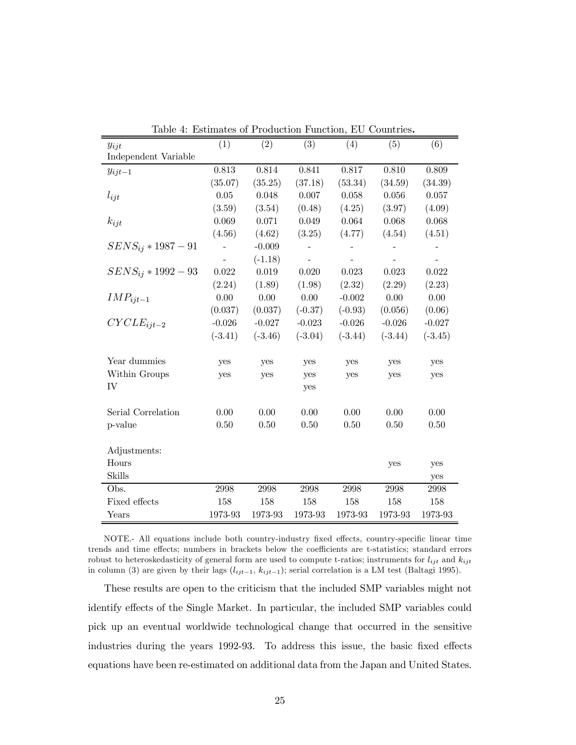| ⊥ພບ⊥ບ<br>$y_{ijt}$      | (1)       | Louiniance of I rouggedion I ancelon,<br>(2) | (3)       | ∸∽<br>(4) | (5)       | (6)       |
|-------------------------|-----------|----------------------------------------------|-----------|-----------|-----------|-----------|
| Independent Variable    |           |                                              |           |           |           |           |
| $y_{ijt-1}$             | 0.813     | 0.814                                        | 0.841     | 0.817     | 0.810     | 0.809     |
|                         | (35.07)   | (35.25)                                      | (37.18)   | (53.34)   | (34.59)   | (34.39)   |
| $l_{ijt}$               | 0.05      | 0.048                                        | 0.007     | 0.058     | 0.056     | 0.057     |
|                         | (3.59)    | (3.54)                                       | (0.48)    | (4.25)    | (3.97)    | (4.09)    |
| $k_{ijt}$               | 0.069     | 0.071                                        | 0.049     | 0.064     | 0.068     | 0.068     |
|                         | (4.56)    | (4.62)                                       | (3.25)    | (4.77)    | (4.54)    | (4.51)    |
| $SENS_{ij} * 1987 - 91$ |           | $-0.009$                                     |           |           |           |           |
|                         |           | $(-1.18)$                                    |           |           |           |           |
| $SENS_{ij} * 1992 - 93$ | 0.022     | 0.019                                        | 0.020     | 0.023     | 0.023     | 0.022     |
|                         | (2.24)    | (1.89)                                       | (1.98)    | (2.32)    | (2.29)    | (2.23)    |
| $IMP_{ijt-1}$           | 0.00      | 0.00                                         | 0.00      | $-0.002$  | 0.00      | 0.00      |
|                         | (0.037)   | (0.037)                                      | $(-0.37)$ | $(-0.93)$ | (0.056)   | (0.06)    |
| $CYCLE_{ijt-2}$         | $-0.026$  | $-0.027$                                     | $-0.023$  | $-0.026$  | $-0.026$  | $-0.027$  |
|                         | $(-3.41)$ | $(-3.46)$                                    | $(-3.04)$ | $(-3.44)$ | $(-3.44)$ | $(-3.45)$ |
|                         |           |                                              |           |           |           |           |
| Year dummies            | yes       | yes                                          | yes       | yes       | yes       | yes       |
| Within Groups           | yes       | yes                                          | yes       | yes       | yes       | yes       |
| IV                      |           |                                              | yes       |           |           |           |
|                         |           |                                              |           |           |           |           |
| Serial Correlation      | 0.00      | 0.00                                         | 0.00      | 0.00      | 0.00      | 0.00      |
| p-value                 | 0.50      | 0.50                                         | 0.50      | 0.50      | 0.50      | 0.50      |
|                         |           |                                              |           |           |           |           |
| Adjustments:            |           |                                              |           |           |           |           |
| Hours                   |           |                                              |           |           | yes       | yes       |
| <b>Skills</b>           |           |                                              |           |           |           | yes       |
| Obs.                    | 2998      | 2998                                         | 2998      | 2998      | 2998      | 2998      |
| Fixed effects           | 158       | 158                                          | 158       | 158       | 158       | 158       |
| Years                   | 1973-93   | 1973-93                                      | 1973-93   | 1973-93   | 1973-93   | 1973-93   |

|  |  |  |  |  |  | Table 4: Estimates of Production Function, EU Countries. |
|--|--|--|--|--|--|----------------------------------------------------------|
|--|--|--|--|--|--|----------------------------------------------------------|

NOTE.- All equations include both country-industry fixed effects, country-specific linear time trends and time effects; numbers in brackets below the coefficients are t-statistics; standard errors robust to heteroskedasticity of general form are used to compute t-ratios; instruments for  $l_{ijt}$  and  $k_{ijt}$ in column (3) are given by their lags  $(l_{ijt-1}, k_{ijt-1})$ ; serial correlation is a LM test (Baltagi 1995).

These results are open to the criticism that the included SMP variables might not identify effects of the Single Market. In particular, the included SMP variables could pick up an eventual worldwide technological change that occurred in the sensitive industries during the years 1992-93. To address this issue, the basic fixed effects equations have been re-estimated on additional data from the Japan and United States.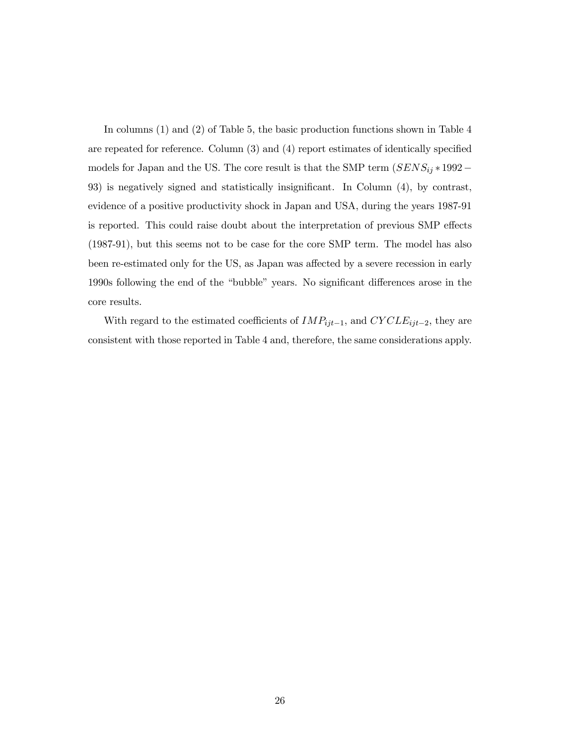In columns (1) and (2) of Table 5, the basic production functions shown in Table 4 are repeated for reference. Column (3) and (4) report estimates of identically specified models for Japan and the US. The core result is that the SMP term  $(SENS_{ij}*1992-\;$ 93) is negatively signed and statistically insignificant. In Column (4), by contrast, evidence of a positive productivity shock in Japan and USA, during the years 1987-91 is reported. This could raise doubt about the interpretation of previous SMP effects (1987-91), but this seems not to be case for the core SMP term. The model has also been re-estimated only for the US, as Japan was affected by a severe recession in early 1990s following the end of the "bubble" years. No significant differences arose in the core results.

With regard to the estimated coefficients of  $IMP_{ijt-1}$ , and  $CYCLE_{ijt-2}$ , they are consistent with those reported in Table 4 and, therefore, the same considerations apply.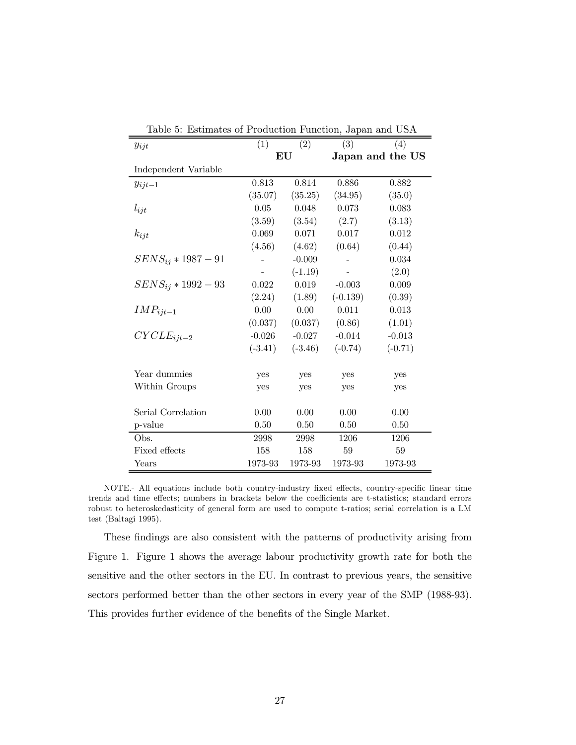| rable $\sigma$ . Estimates of Frounction Function, Japan and $\sigma$ |           |           |                  |           |  |  |  |  |  |
|-----------------------------------------------------------------------|-----------|-----------|------------------|-----------|--|--|--|--|--|
| $y_{ijt}$                                                             | (1)       | (2)       | (3)              | (4)       |  |  |  |  |  |
|                                                                       | EU        |           | Japan and the US |           |  |  |  |  |  |
| Independent Variable                                                  |           |           |                  |           |  |  |  |  |  |
| $y_{ijt-1}$                                                           | 0.813     | 0.814     | 0.886            | 0.882     |  |  |  |  |  |
|                                                                       | (35.07)   | (35.25)   | (34.95)          | (35.0)    |  |  |  |  |  |
| $l_{ijt}$                                                             | 0.05      | 0.048     | 0.073            | 0.083     |  |  |  |  |  |
|                                                                       | (3.59)    | (3.54)    | (2.7)            | (3.13)    |  |  |  |  |  |
| $k_{ijt}$                                                             | 0.069     | 0.071     | 0.017            | 0.012     |  |  |  |  |  |
|                                                                       | (4.56)    | (4.62)    | (0.64)           | (0.44)    |  |  |  |  |  |
| $SENS_{ij} * 1987 - 91$                                               |           | $-0.009$  |                  | 0.034     |  |  |  |  |  |
|                                                                       |           | $(-1.19)$ |                  | (2.0)     |  |  |  |  |  |
| $SENS_{ij} * 1992 - 93$                                               | 0.022     | 0.019     | $-0.003$         | 0.009     |  |  |  |  |  |
|                                                                       | (2.24)    | (1.89)    | $(-0.139)$       | (0.39)    |  |  |  |  |  |
| $IMP_{ijt-1}$                                                         | 0.00      | 0.00      | 0.011            | 0.013     |  |  |  |  |  |
|                                                                       | (0.037)   | (0.037)   | (0.86)           | (1.01)    |  |  |  |  |  |
| $CYCLE_{ijt-2}$                                                       | $-0.026$  | $-0.027$  | $-0.014$         | $-0.013$  |  |  |  |  |  |
|                                                                       | $(-3.41)$ | $(-3.46)$ | $(-0.74)$        | $(-0.71)$ |  |  |  |  |  |
| Year dummies                                                          |           |           |                  |           |  |  |  |  |  |
|                                                                       | yes       | yes       | yes              | yes       |  |  |  |  |  |
| Within Groups                                                         | yes       | yes       | yes              | yes       |  |  |  |  |  |
| Serial Correlation                                                    | 0.00      | 0.00      | 0.00             | 0.00      |  |  |  |  |  |
| p-value                                                               | 0.50      | 0.50      | 0.50             | 0.50      |  |  |  |  |  |
|                                                                       |           |           |                  |           |  |  |  |  |  |
| Obs.                                                                  | 2998      | 2998      | 1206             | 1206      |  |  |  |  |  |
| Fixed effects                                                         | 158       | 158       | 59               | 59        |  |  |  |  |  |
| Years                                                                 | 1973-93   | 1973-93   | 1973-93          | 1973-93   |  |  |  |  |  |

Table 5: Estimates of Production Function, Japan and USA

NOTE.- All equations include both country-industry fixed effects, country-specific linear time trends and time effects; numbers in brackets below the coefficients are t-statistics; standard errors robust to heteroskedasticity of general form are used to compute t-ratios; serial correlation is a LM test (Baltagi 1995).

These findings are also consistent with the patterns of productivity arising from Figure 1. Figure 1 shows the average labour productivity growth rate for both the sensitive and the other sectors in the EU. In contrast to previous years, the sensitive sectors performed better than the other sectors in every year of the SMP (1988-93). This provides further evidence of the benefits of the Single Market.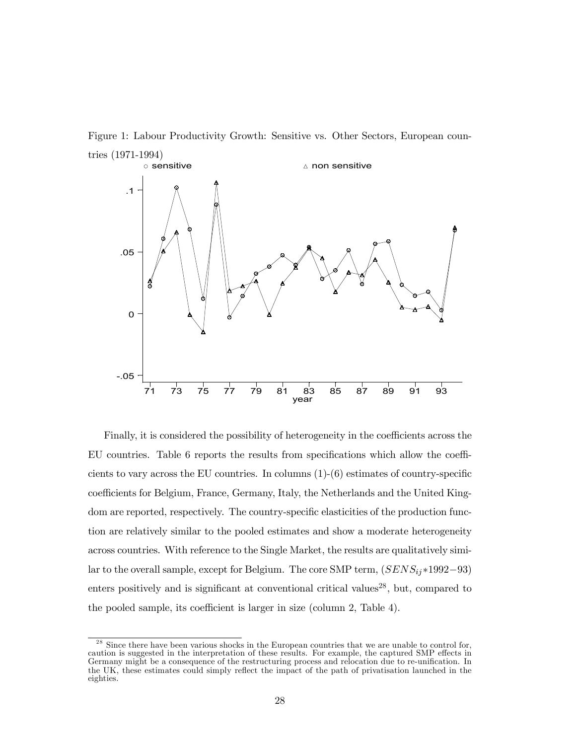Figure 1: Labour Productivity Growth: Sensitive vs. Other Sectors, European coun-



Finally, it is considered the possibility of heterogeneity in the coefficients across the EU countries. Table 6 reports the results from specifications which allow the coefficients to vary across the EU countries. In columns  $(1)-(6)$  estimates of country-specific coefficients for Belgium, France, Germany, Italy, the Netherlands and the United Kingdom are reported, respectively. The country-specific elasticities of the production function are relatively similar to the pooled estimates and show a moderate heterogeneity across countries. With reference to the Single Market, the results are qualitatively similar to the overall sample, except for Belgium. The core SMP term,  $(SENS_{ij}*1992-93)$ enters positively and is significant at conventional critical values<sup>28</sup>, but, compared to the pooled sample, its coefficient is larger in size (column 2, Table 4).

 $28$  Since there have been various shocks in the European countries that we are unable to control for, caution is suggested in the interpretation of these results. For example, the captured SMP effects in Germany might be a consequence of the restructuring process and relocation due to re-unification. In the UK, these estimates could simply reflect the impact of the path of privatisation launched in the eighties.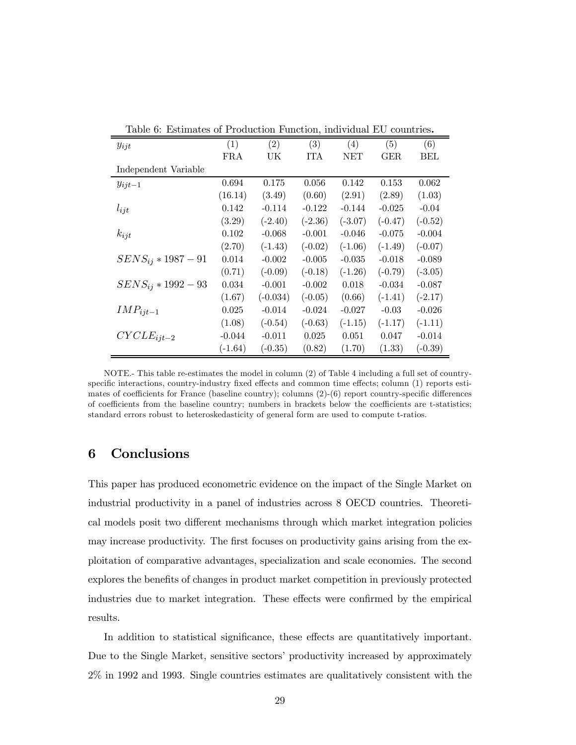| Lable 0. Estimates of 1 roughbor Function, murviqual EU countries. |           |            |            |            |           |           |  |  |
|--------------------------------------------------------------------|-----------|------------|------------|------------|-----------|-----------|--|--|
| $y_{ijt}$                                                          | (1)       | (2)        | (3)        | (4)        | (5)       | (6)       |  |  |
|                                                                    | FRA       | UK         | <b>ITA</b> | <b>NET</b> | GER       | BEL       |  |  |
| Independent Variable                                               |           |            |            |            |           |           |  |  |
| $y_{ijt-1}$                                                        | 0.694     | 0.175      | 0.056      | 0.142      | 0.153     | 0.062     |  |  |
|                                                                    | (16.14)   | (3.49)     | (0.60)     | (2.91)     | (2.89)    | (1.03)    |  |  |
| $l_{ijt}$                                                          | 0.142     | $-0.114$   | $-0.122$   | $-0.144$   | $-0.025$  | $-0.04$   |  |  |
|                                                                    | (3.29)    | $(-2.40)$  | $(-2.36)$  | $(-3.07)$  | $(-0.47)$ | $(-0.52)$ |  |  |
| $k_{ijt}$                                                          | 0.102     | $-0.068$   | $-0.001$   | $-0.046$   | $-0.075$  | $-0.004$  |  |  |
|                                                                    | (2.70)    | $(-1.43)$  | $(-0.02)$  | $(-1.06)$  | $(-1.49)$ | $(-0.07)$ |  |  |
| $SENS_{ij} * 1987 - 91$                                            | 0.014     | $-0.002$   | $-0.005$   | $-0.035$   | $-0.018$  | $-0.089$  |  |  |
|                                                                    | (0.71)    | $(-0.09)$  | $(-0.18)$  | $(-1.26)$  | $(-0.79)$ | $(-3.05)$ |  |  |
| $SENS_{ij} * 1992 - 93$                                            | 0.034     | $-0.001$   | $-0.002$   | 0.018      | $-0.034$  | $-0.087$  |  |  |
|                                                                    | (1.67)    | $(-0.034)$ | $(-0.05)$  | (0.66)     | $(-1.41)$ | $(-2.17)$ |  |  |
| $IMP_{ijt-1}$                                                      | 0.025     | $-0.014$   | $-0.024$   | $-0.027$   | $-0.03$   | $-0.026$  |  |  |
|                                                                    | (1.08)    | $(-0.54)$  | $(-0.63)$  | $(-1.15)$  | $(-1.17)$ | $(-1.11)$ |  |  |
| $CYCLE_{ijt-2}$                                                    | $-0.044$  | $-0.011$   | 0.025      | 0.051      | 0.047     | $-0.014$  |  |  |
|                                                                    | $(-1.64)$ | $(-0.35)$  | (0.82)     | (1.70)     | (1.33)    | $(-0.39)$ |  |  |

Table 6: Estimates of Production Function, individual EU countries.

NOTE.- This table re-estimates the model in column (2) of Table 4 including a full set of countryspecific interactions, country-industry fixed effects and common time effects; column (1) reports estimates of coefficients for France (baseline country); columns (2)-(6) report country-specific differences of coefficients from the baseline country; numbers in brackets below the coefficients are t-statistics; standard errors robust to heteroskedasticity of general form are used to compute t-ratios.

# 6 Conclusions

This paper has produced econometric evidence on the impact of the Single Market on industrial productivity in a panel of industries across 8 OECD countries. Theoretical models posit two different mechanisms through which market integration policies may increase productivity. The first focuses on productivity gains arising from the exploitation of comparative advantages, specialization and scale economies. The second explores the benefits of changes in product market competition in previously protected industries due to market integration. These effects were confirmed by the empirical results.

In addition to statistical significance, these effects are quantitatively important. Due to the Single Market, sensitive sectors' productivity increased by approximately 2% in 1992 and 1993. Single countries estimates are qualitatively consistent with the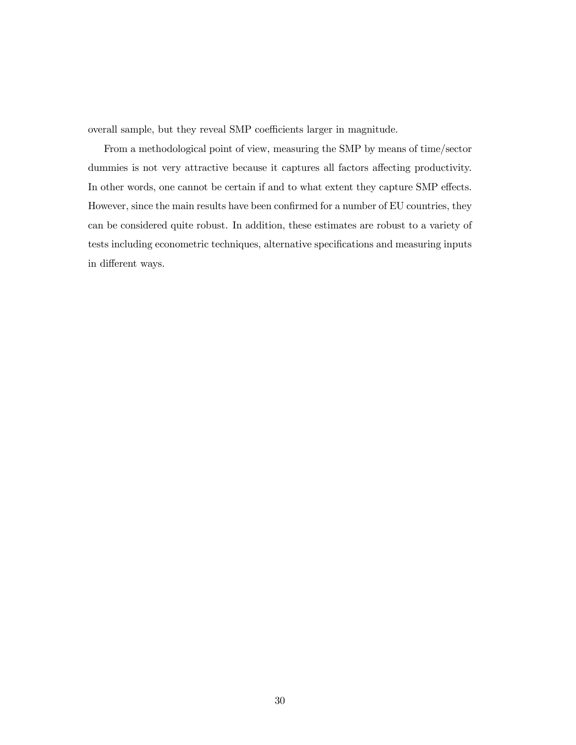overall sample, but they reveal SMP coefficients larger in magnitude.

From a methodological point of view, measuring the SMP by means of time/sector dummies is not very attractive because it captures all factors affecting productivity. In other words, one cannot be certain if and to what extent they capture SMP effects. However, since the main results have been confirmed for a number of EU countries, they can be considered quite robust. In addition, these estimates are robust to a variety of tests including econometric techniques, alternative specifications and measuring inputs in different ways.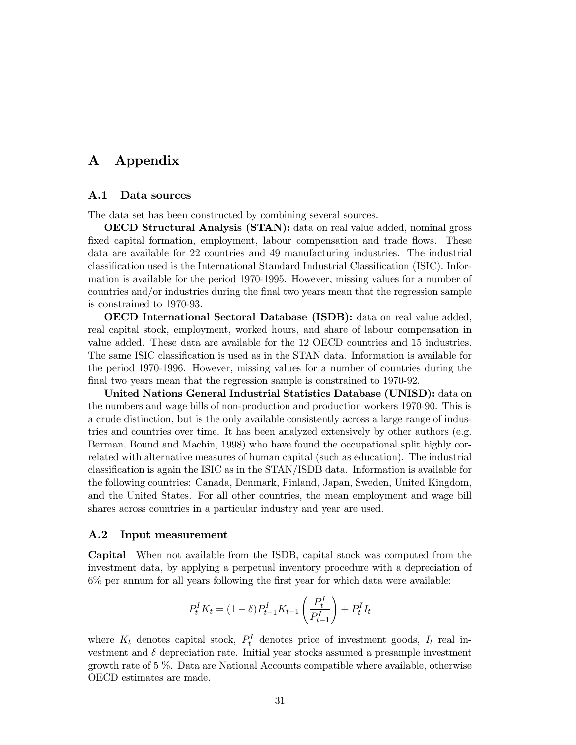# A Appendix

#### A.1 Data sources

The data set has been constructed by combining several sources.

OECD Structural Analysis (STAN): data on real value added, nominal gross fixed capital formation, employment, labour compensation and trade flows. These data are available for 22 countries and 49 manufacturing industries. The industrial classification used is the International Standard Industrial Classification (ISIC). Information is available for the period 1970-1995. However, missing values for a number of countries and/or industries during the final two years mean that the regression sample is constrained to 1970-93.

OECD International Sectoral Database (ISDB): data on real value added, real capital stock, employment, worked hours, and share of labour compensation in value added. These data are available for the 12 OECD countries and 15 industries. The same ISIC classification is used as in the STAN data. Information is available for the period 1970-1996. However, missing values for a number of countries during the final two years mean that the regression sample is constrained to 1970-92.

United Nations General Industrial Statistics Database (UNISD): data on the numbers and wage bills of non-production and production workers 1970-90. This is a crude distinction, but is the only available consistently across a large range of industries and countries over time. It has been analyzed extensively by other authors (e.g. Berman, Bound and Machin, 1998) who have found the occupational split highly correlated with alternative measures of human capital (such as education). The industrial classification is again the ISIC as in the STAN/ISDB data. Information is available for the following countries: Canada, Denmark, Finland, Japan, Sweden, United Kingdom, and the United States. For all other countries, the mean employment and wage bill shares across countries in a particular industry and year are used.

#### A.2 Input measurement

Capital When not available from the ISDB, capital stock was computed from the investment data, by applying a perpetual inventory procedure with a depreciation of 6% per annum for all years following the first year for which data were available:

$$
P_{t}^{I} K_{t} = (1-\delta) P_{t-1}^{I} K_{t-1} \left( \frac{P_{t}^{I}}{P_{t-1}^{I}} \right) + P_{t}^{I} I_{t}
$$

where  $K_t$  denotes capital stock,  $P_t^I$  denotes price of investment goods,  $I_t$  real investment and  $\delta$  depreciation rate. Initial year stocks assumed a presample investment growth rate of 5 %. Data are National Accounts compatible where available, otherwise OECD estimates are made.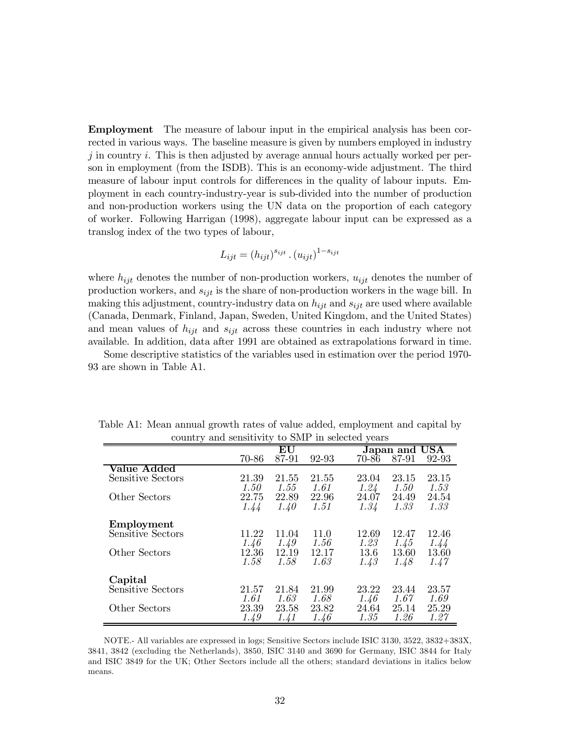Employment The measure of labour input in the empirical analysis has been corrected in various ways. The baseline measure is given by numbers employed in industry j in country i. This is then adjusted by average annual hours actually worked per person in employment (from the ISDB). This is an economy-wide adjustment. The third measure of labour input controls for differences in the quality of labour inputs. Employment in each country-industry-year is sub-divided into the number of production and non-production workers using the UN data on the proportion of each category of worker. Following Harrigan (1998), aggregate labour input can be expressed as a translog index of the two types of labour,

$$
L_{ijt} = (h_{ijt})^{s_{ijt}} \cdot (u_{ijt})^{1-s_{ijt}}
$$

where  $h_{ijt}$  denotes the number of non-production workers,  $u_{ijt}$  denotes the number of production workers, and  $s_{ijt}$  is the share of non-production workers in the wage bill. In making this adjustment, country-industry data on  $h_{ijt}$  and  $s_{ijt}$  are used where available (Canada, Denmark, Finland, Japan, Sweden, United Kingdom, and the United States) and mean values of  $h_{ijt}$  and  $s_{ijt}$  across these countries in each industry where not available. In addition, data after 1991 are obtained as extrapolations forward in time.

Some descriptive statistics of the variables used in estimation over the period 1970- 93 are shown in Table A1.

| country and schsiterity to sivil in sciedud years |       |                  |       |                         |  |  |  |  |
|---------------------------------------------------|-------|------------------|-------|-------------------------|--|--|--|--|
|                                                   |       | ${\bf E}{\bf U}$ |       | Japan and USA           |  |  |  |  |
|                                                   | 70-86 | 87-91            | 92-93 | 87-91<br>92-93<br>70-86 |  |  |  |  |
| Value Added                                       |       |                  |       |                         |  |  |  |  |
| Sensitive Sectors                                 | 21.39 | 21.55            | 21.55 | 23.15<br>23.04<br>23.15 |  |  |  |  |
|                                                   | 1.50  | 1.55             | 1.61  | 1.24<br>1.50<br>1.53    |  |  |  |  |
| Other Sectors                                     | 22.75 | 22.89            | 22.96 | 24.07<br>24.49<br>24.54 |  |  |  |  |
|                                                   | 1.44  | 1.40             | 1.51  | 1.33<br>1.34<br>1.33    |  |  |  |  |
| Employment                                        |       |                  |       |                         |  |  |  |  |
| Sensitive Sectors                                 | 11.22 | 11.04            | 11.0  | 12.46<br>12.69<br>12.47 |  |  |  |  |
|                                                   | 1.46  | 1.49             | 1.56  | 1.23<br>1.45<br>1.44    |  |  |  |  |
| Other Sectors                                     | 12.36 | 12.19            | 12.17 | 13.6<br>13.60<br>13.60  |  |  |  |  |
|                                                   | 1.58  | 1.58             | 1.63  | 1.48<br>1.47<br>1.43    |  |  |  |  |
| Capital                                           |       |                  |       |                         |  |  |  |  |
| Sensitive Sectors                                 | 21.57 | 21.84            | 21.99 | 23.22<br>23.44<br>23.57 |  |  |  |  |
|                                                   | 1.61  | 1.63             | 1.68  | 1.67<br>1.46<br>1.69    |  |  |  |  |
| Other Sectors                                     | 23.39 | 23.58            | 23.82 | 25.14<br>25.29<br>24.64 |  |  |  |  |
|                                                   | 1.49  | 1.41             | 1.46  | 1.26<br>1.35<br>1.27    |  |  |  |  |

Table A1: Mean annual growth rates of value added, employment and capital by country and sensitivity to SMP in selected years

NOTE.- All variables are expressed in logs; Sensitive Sectors include ISIC 3130, 3522, 3832+383X, 3841, 3842 (excluding the Netherlands), 3850, ISIC 3140 and 3690 for Germany, ISIC 3844 for Italy and ISIC 3849 for the UK; Other Sectors include all the others; standard deviations in italics below means.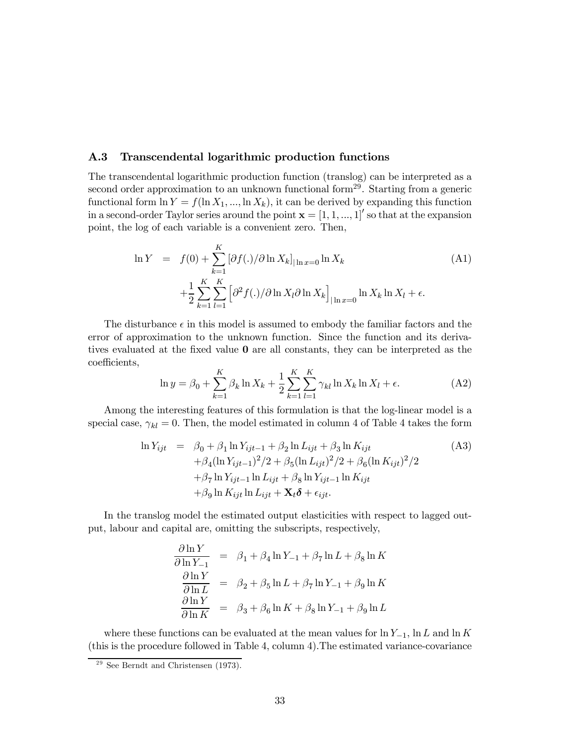#### A.3 Transcendental logarithmic production functions

The transcendental logarithmic production function (translog) can be interpreted as a second order approximation to an unknown functional form<sup>29</sup>. Starting from a generic functional form  $\ln Y = f(\ln X_1, ..., \ln X_k)$ , it can be derived by expanding this function in a second-order Taylor series around the point  $\mathbf{x} = \begin{bmatrix} 1, 1, ..., 1 \end{bmatrix}$  so that at the expansion point, the log of each variable is a convenient zero. Then,

$$
\ln Y = f(0) + \sum_{k=1}^{K} \left[ \partial f(.) / \partial \ln X_k \right]_{|\ln x = 0} \ln X_k
$$
\n
$$
+ \frac{1}{2} \sum_{k=1}^{K} \sum_{l=1}^{K} \left[ \partial^2 f(.) / \partial \ln X_l \partial \ln X_k \right]_{|\ln x = 0} \ln X_k \ln X_l + \epsilon.
$$
\n(A1)

The disturbance  $\epsilon$  in this model is assumed to embody the familiar factors and the error of approximation to the unknown function. Since the function and its derivatives evaluated at the fixed value 0 are all constants, they can be interpreted as the coefficients,

$$
\ln y = \beta_0 + \sum_{k=1}^{K} \beta_k \ln X_k + \frac{1}{2} \sum_{k=1}^{K} \sum_{l=1}^{K} \gamma_{kl} \ln X_k \ln X_l + \epsilon.
$$
 (A2)

Among the interesting features of this formulation is that the log-linear model is a special case,  $\gamma_{kl} = 0$ . Then, the model estimated in column 4 of Table 4 takes the form

$$
\ln Y_{ijt} = \beta_0 + \beta_1 \ln Y_{ijt-1} + \beta_2 \ln L_{ijt} + \beta_3 \ln K_{ijt} \n+ \beta_4 (\ln Y_{ijt-1})^2 / 2 + \beta_5 (\ln L_{ijt})^2 / 2 + \beta_6 (\ln K_{ijt})^2 / 2 \n+ \beta_7 \ln Y_{ijt-1} \ln L_{ijt} + \beta_8 \ln Y_{ijt-1} \ln K_{ijt} \n+ \beta_9 \ln K_{ijt} \ln L_{ijt} + \mathbf{X}_t \delta + \epsilon_{ijt}.
$$
\n(A3)

In the translog model the estimated output elasticities with respect to lagged output, labour and capital are, omitting the subscripts, respectively,

$$
\frac{\partial \ln Y}{\partial \ln Y_{-1}} = \beta_1 + \beta_4 \ln Y_{-1} + \beta_7 \ln L + \beta_8 \ln K
$$
  

$$
\frac{\partial \ln Y}{\partial \ln L} = \beta_2 + \beta_5 \ln L + \beta_7 \ln Y_{-1} + \beta_9 \ln K
$$
  

$$
\frac{\partial \ln Y}{\partial \ln K} = \beta_3 + \beta_6 \ln K + \beta_8 \ln Y_{-1} + \beta_9 \ln L
$$

where these functions can be evaluated at the mean values for  $\ln Y_{-1}$ ,  $\ln L$  and  $\ln K$ (this is the procedure followed in Table 4, column 4).The estimated variance-covariance

 $29$  See Berndt and Christensen  $(1973)$ .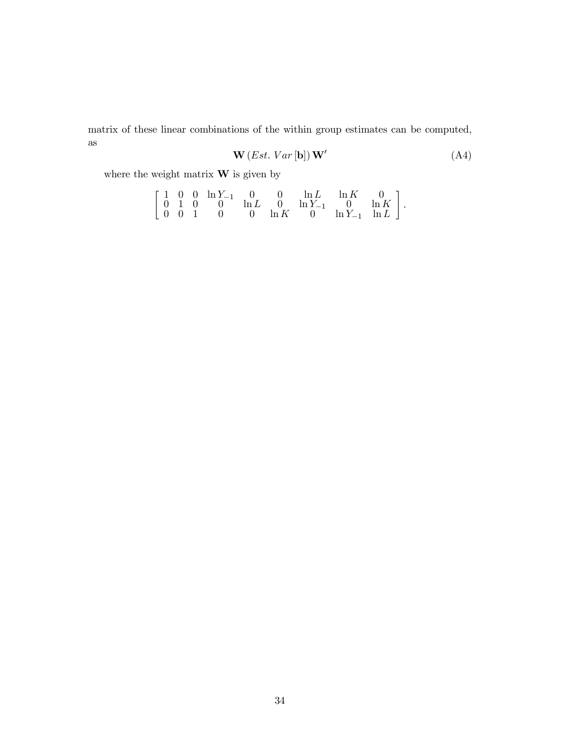matrix of these linear combinations of the within group estimates can be computed, as

$$
\mathbf{W}(Est. Var[\mathbf{b}])\mathbf{W}' \tag{A4}
$$

where the weight matrix  $\mathbf{W}$  is given by

$$
\left[\begin{array}{cccccc} 1 & 0 & 0 & \ln Y_{-1} & 0 & 0 & \ln L & \ln K & 0 \\ 0 & 1 & 0 & 0 & \ln L & 0 & \ln Y_{-1} & 0 & \ln K \\ 0 & 0 & 1 & 0 & 0 & \ln K & 0 & \ln Y_{-1} & \ln L \end{array}\right].
$$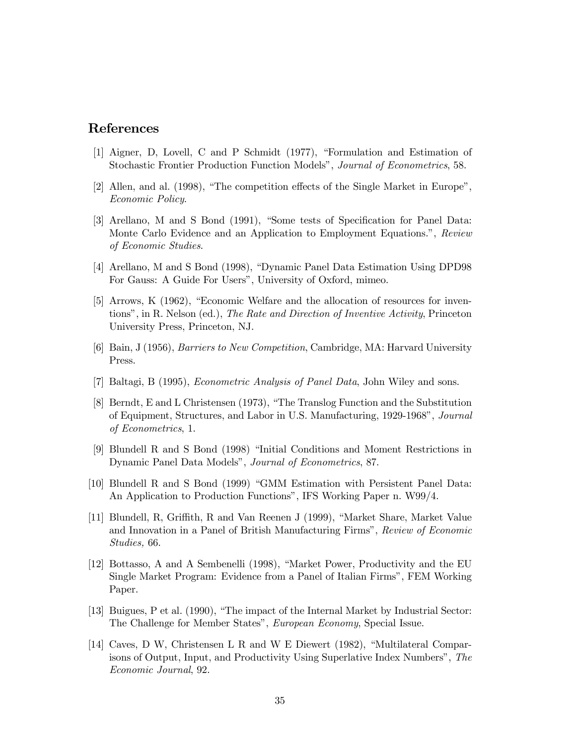# References

- [1] Aigner, D, Lovell, C and P Schmidt (1977), "Formulation and Estimation of Stochastic Frontier Production Function Models", Journal of Econometrics, 58.
- [2] Allen, and al. (1998), "The competition effects of the Single Market in Europe", Economic Policy.
- [3] Arellano, M and S Bond (1991), "Some tests of Specification for Panel Data: Monte Carlo Evidence and an Application to Employment Equations.", Review of Economic Studies.
- [4] Arellano, M and S Bond (1998), "Dynamic Panel Data Estimation Using DPD98 For Gauss: A Guide For Users", University of Oxford, mimeo.
- [5] Arrows, K (1962), "Economic Welfare and the allocation of resources for inventions", in R. Nelson (ed.), The Rate and Direction of Inventive Activity, Princeton University Press, Princeton, NJ.
- [6] Bain, J (1956), Barriers to New Competition, Cambridge, MA: Harvard University Press.
- [7] Baltagi, B (1995), Econometric Analysis of Panel Data, John Wiley and sons.
- [8] Berndt, E and L Christensen (1973), "The Translog Function and the Substitution of Equipment, Structures, and Labor in U.S. Manufacturing, 1929-1968", Journal of Econometrics, 1.
- [9] Blundell R and S Bond (1998) "Initial Conditions and Moment Restrictions in Dynamic Panel Data Models", Journal of Econometrics, 87.
- [10] Blundell R and S Bond (1999) "GMM Estimation with Persistent Panel Data: An Application to Production Functions", IFS Working Paper n. W99/4.
- [11] Blundell, R, Griffith, R and Van Reenen J (1999), "Market Share, Market Value and Innovation in a Panel of British Manufacturing Firms", Review of Economic Studies, 66.
- [12] Bottasso, A and A Sembenelli (1998), "Market Power, Productivity and the EU Single Market Program: Evidence from a Panel of Italian Firms", FEM Working Paper.
- [13] Buigues, P et al. (1990), "The impact of the Internal Market by Industrial Sector: The Challenge for Member States", European Economy, Special Issue.
- [14] Caves, D W, Christensen L R and W E Diewert (1982), "Multilateral Comparisons of Output, Input, and Productivity Using Superlative Index Numbers", The Economic Journal, 92.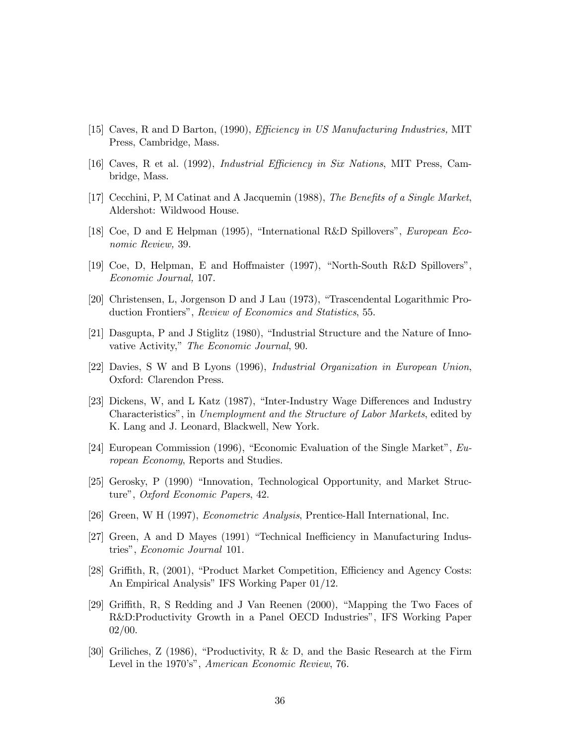- [15] Caves, R and D Barton, (1990), *Efficiency in US Manufacturing Industries*, MIT Press, Cambridge, Mass.
- [16] Caves, R et al. (1992), Industrial Efficiency in Six Nations, MIT Press, Cambridge, Mass.
- [17] Cecchini, P, M Catinat and A Jacquemin (1988), The Benefits of a Single Market, Aldershot: Wildwood House.
- [18] Coe, D and E Helpman (1995), "International R&D Spillovers", *European Eco*nomic Review, 39.
- [19] Coe, D, Helpman, E and Hoffmaister (1997), "North-South R&D Spillovers", Economic Journal, 107.
- [20] Christensen, L, Jorgenson D and J Lau (1973), "Trascendental Logarithmic Production Frontiers", Review of Economics and Statistics, 55.
- [21] Dasgupta, P and J Stiglitz (1980), "Industrial Structure and the Nature of Innovative Activity," The Economic Journal, 90.
- [22] Davies, S W and B Lyons (1996), Industrial Organization in European Union, Oxford: Clarendon Press.
- [23] Dickens, W, and L Katz (1987), "Inter-Industry Wage Differences and Industry Characteristics", in Unemployment and the Structure of Labor Markets, edited by K. Lang and J. Leonard, Blackwell, New York.
- [24] European Commission (1996), "Economic Evaluation of the Single Market", European Economy, Reports and Studies.
- [25] Gerosky, P (1990) "Innovation, Technological Opportunity, and Market Structure", Oxford Economic Papers, 42.
- [26] Green, W H (1997), Econometric Analysis, Prentice-Hall International, Inc.
- [27] Green, A and D Mayes (1991) "Technical Inefficiency in Manufacturing Industries", Economic Journal 101.
- [28] Griffith, R, (2001), "Product Market Competition, Efficiency and Agency Costs: An Empirical Analysis" IFS Working Paper 01/12.
- [29] Griffith, R, S Redding and J Van Reenen (2000), "Mapping the Two Faces of R&D:Productivity Growth in a Panel OECD Industries", IFS Working Paper 02/00.
- [30] Griliches, Z (1986), "Productivity, R & D, and the Basic Research at the Firm Level in the 1970's", American Economic Review, 76.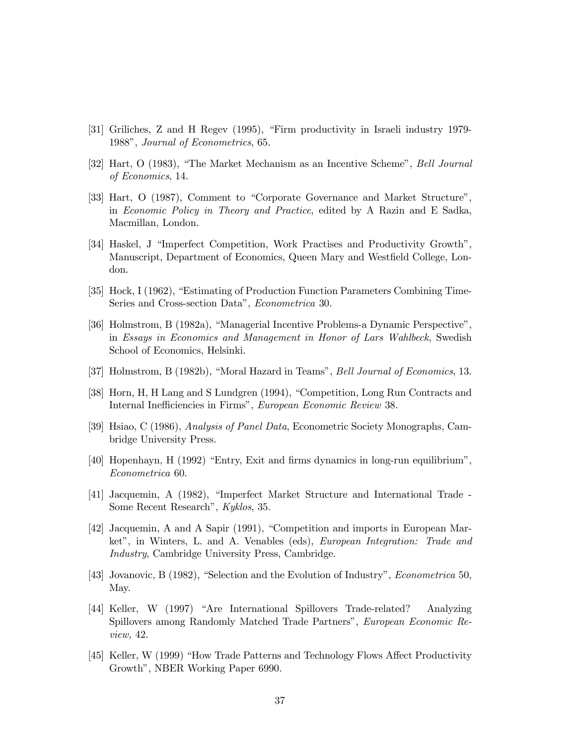- [31] Griliches, Z and H Regev (1995), "Firm productivity in Israeli industry 1979- 1988", Journal of Econometrics, 65.
- [32] Hart, O (1983), "The Market Mechanism as an Incentive Scheme", Bell Journal of Economics, 14.
- [33] Hart, O (1987), Comment to "Corporate Governance and Market Structure", in Economic Policy in Theory and Practice, edited by A Razin and E Sadka, Macmillan, London.
- [34] Haskel, J "Imperfect Competition, Work Practises and Productivity Growth", Manuscript, Department of Economics, Queen Mary and Westfield College, London.
- [35] Hock, I (1962), "Estimating of Production Function Parameters Combining Time-Series and Cross-section Data", Econometrica 30.
- [36] Holmstrom, B (1982a), "Managerial Incentive Problems-a Dynamic Perspective", in Essays in Economics and Management in Honor of Lars Wahlbeck, Swedish School of Economics, Helsinki.
- [37] Holmstrom, B (1982b), "Moral Hazard in Teams", Bell Journal of Economics, 13.
- [38] Horn, H, H Lang and S Lundgren (1994), "Competition, Long Run Contracts and Internal Inefficiencies in Firms", European Economic Review 38.
- [39] Hsiao, C (1986), Analysis of Panel Data, Econometric Society Monographs, Cambridge University Press.
- [40] Hopenhayn, H (1992) "Entry, Exit and firms dynamics in long-run equilibrium", Econometrica 60.
- [41] Jacquemin, A (1982), "Imperfect Market Structure and International Trade Some Recent Research", Kyklos, 35.
- [42] Jacquemin, A and A Sapir (1991), "Competition and imports in European Market", in Winters, L. and A. Venables (eds), European Integration: Trade and Industry, Cambridge University Press, Cambridge.
- [43] Jovanovic, B (1982), "Selection and the Evolution of Industry", Econometrica 50, May.
- [44] Keller, W (1997) "Are International Spillovers Trade-related? Analyzing Spillovers among Randomly Matched Trade Partners", European Economic Review, 42.
- [45] Keller, W (1999) "How Trade Patterns and Technology Flows Affect Productivity Growth", NBER Working Paper 6990.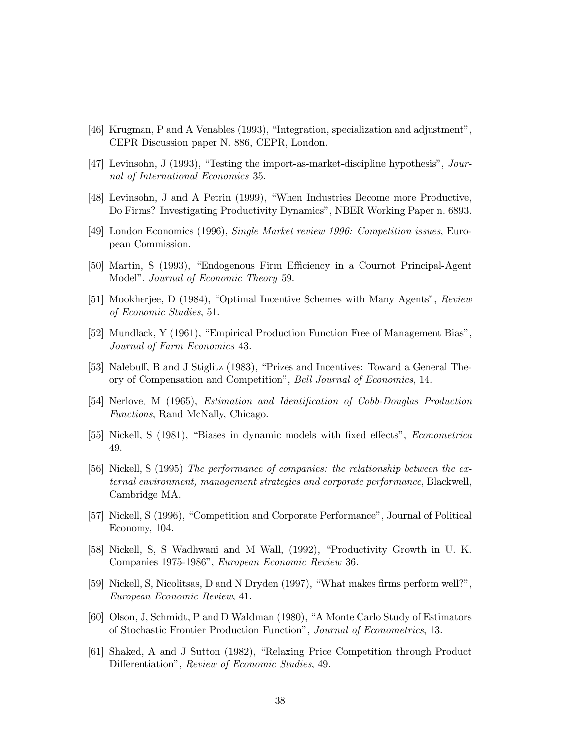- [46] Krugman, P and A Venables (1993), "Integration, specialization and adjustment", CEPR Discussion paper N. 886, CEPR, London.
- [47] Levinsohn, J (1993), "Testing the import-as-market-discipline hypothesis", Journal of International Economics 35.
- [48] Levinsohn, J and A Petrin (1999), "When Industries Become more Productive, Do Firms? Investigating Productivity Dynamics", NBER Working Paper n. 6893.
- [49] London Economics (1996), Single Market review 1996: Competition issues, European Commission.
- [50] Martin, S (1993), "Endogenous Firm Efficiency in a Cournot Principal-Agent Model", Journal of Economic Theory 59.
- [51] Mookherjee, D (1984), "Optimal Incentive Schemes with Many Agents", Review of Economic Studies, 51.
- [52] Mundlack, Y (1961), "Empirical Production Function Free of Management Bias", Journal of Farm Economics 43.
- [53] Nalebuff, B and J Stiglitz (1983), "Prizes and Incentives: Toward a General Theory of Compensation and Competition", *Bell Journal of Economics*, 14.
- [54] Nerlove, M (1965), Estimation and Identification of Cobb-Douglas Production Functions, Rand McNally, Chicago.
- [55] Nickell, S (1981), "Biases in dynamic models with fixed effects", Econometrica 49.
- [56] Nickell, S (1995) The performance of companies: the relationship between the external environment, management strategies and corporate performance, Blackwell, Cambridge MA.
- [57] Nickell, S (1996), "Competition and Corporate Performance", Journal of Political Economy, 104.
- [58] Nickell, S, S Wadhwani and M Wall, (1992), "Productivity Growth in U. K. Companies 1975-1986", European Economic Review 36.
- [59] Nickell, S, Nicolitsas, D and N Dryden (1997), "What makes firms perform well?", European Economic Review, 41.
- [60] Olson, J, Schmidt, P and D Waldman (1980), "A Monte Carlo Study of Estimators of Stochastic Frontier Production Function", Journal of Econometrics, 13.
- [61] Shaked, A and J Sutton (1982), "Relaxing Price Competition through Product Differentiation", Review of Economic Studies, 49.